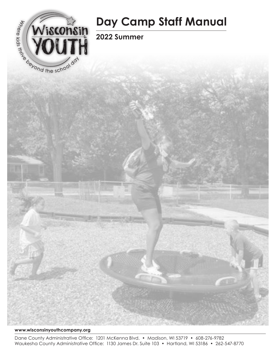

# **Day Camp Staff Manual**

**2022 Summer** 



Dane County Administrative Office: 1201 McKenna Blvd. • Madison, WI 53719 • 608-276-9782 Waukesha County Administrative Office: 1130 James Dr. Suite 103 • Hartland, WI 53186 • 262-547-8770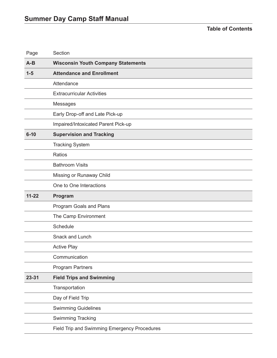**Table of Contents**

| Page      | Section                                   |
|-----------|-------------------------------------------|
| $A-B$     | <b>Wisconsin Youth Company Statements</b> |
| $1 - 5$   | <b>Attendance and Enrollment</b>          |
|           | Attendance                                |
|           | <b>Extracurricular Activities</b>         |
|           | Messages                                  |
|           | Early Drop-off and Late Pick-up           |
|           | Impaired/Intoxicated Parent Pick-up       |
| $6 - 10$  | <b>Supervision and Tracking</b>           |
|           | <b>Tracking System</b>                    |
|           | Ratios                                    |
|           | <b>Bathroom Visits</b>                    |
|           | Missing or Runaway Child                  |
|           | One to One Interactions                   |
|           |                                           |
| $11 - 22$ | Program                                   |
|           | Program Goals and Plans                   |
|           | The Camp Environment                      |
|           | Schedule                                  |
|           | <b>Snack and Lunch</b>                    |
|           | <b>Active Play</b>                        |
|           | Communication                             |
|           | <b>Program Partners</b>                   |
| 23-31     | <b>Field Trips and Swimming</b>           |
|           | Transportation                            |
|           | Day of Field Trip                         |
|           | <b>Swimming Guidelines</b>                |
|           | <b>Swimming Tracking</b>                  |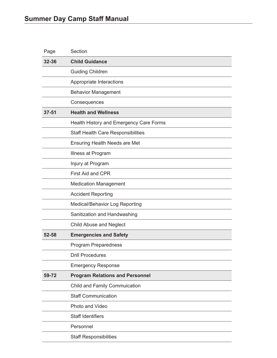| Page      | Section                                   |
|-----------|-------------------------------------------|
| 32-36     | <b>Child Guidance</b>                     |
|           | <b>Guiding Children</b>                   |
|           | Appropriate Interactions                  |
|           | <b>Behavior Management</b>                |
|           | Consequences                              |
| $37 - 51$ | <b>Health and Wellness</b>                |
|           | Health History and Emergency Care Forms   |
|           | <b>Staff Health Care Responsibilities</b> |
|           | <b>Ensuring Health Needs are Met</b>      |
|           | Illness at Program                        |
|           | Injury at Program                         |
|           | <b>First Aid and CPR</b>                  |
|           | <b>Medication Management</b>              |
|           | <b>Accident Reporting</b>                 |
|           | Medical/Behavior Log Reporting            |
|           | Sanitization and Handwashing              |
|           | <b>Child Abuse and Neglect</b>            |
| 52-58     | <b>Emergencies and Safety</b>             |
|           | <b>Program Preparedness</b>               |
|           | <b>Drill Procedures</b>                   |
|           | <b>Emergency Response</b>                 |
| 59-72     | <b>Program Relations and Personnel</b>    |
|           | <b>Child and Family Commuication</b>      |
|           | <b>Staff Communication</b>                |
|           | Photo and Video                           |
|           | <b>Staff Identifiers</b>                  |
|           | Personnel                                 |
|           | <b>Staff Responsibilities</b>             |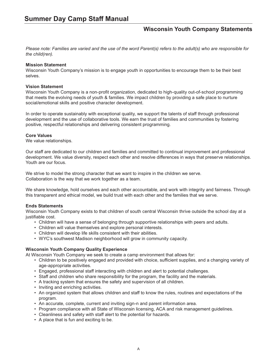## **Wisconsin Youth Company Statements**

*Please note: Families are varied and the use of the word Parent(s) refers to the adult(s) who are responsible for the child(ren).*

#### **Mission Statement**

Wisconsin Youth Company's mission is to engage youth in opportunities to encourage them to be their best selves.

#### **Vision Statement**

Wisconsin Youth Company is a non-profit organization, dedicated to high-quality out-of-school programming that meets the evolving needs of youth & families. We impact children by providing a safe place to nurture social/emotional skills and positive character development.

In order to operate sustainably with exceptional quality, we support the talents of staff through professional development and the use of collaborative tools. We earn the trust of families and communities by fostering positive, respectful relationships and delivering consistent programming.

#### **Core Values**

We value relationships.

Our staff are dedicated to our children and families and committed to continual improvement and professional development. We value diversity, respect each other and resolve differences in ways that preserve relationships. Youth are our focus.

We strive to model the strong character that we want to inspire in the children we serve. Collaboration is the way that we work together as a team.

We share knowledge, hold ourselves and each other accountable, and work with integrity and fairness. Through this transparent and ethical model, we build trust with each other and the families that we serve.

#### **Ends Statements**

Wisconsin Youth Company exists to that children of south central Wisconsin thrive outside the school day at a justifiable cost.

- Children will have a sense of belonging through supportive relationships with peers and adults.
- Children will value themselves and explore personal interests.
- Children will develop life skills consistent with their abilities.
- WYC's southwest Madison neighborhood will grow in community capacity.

#### **Wisconsin Youth Company Quality Experience**

At Wisconsin Youth Company we seek to create a camp environment that allows for:

- Children to be positively engaged and provided with choice, sufficient supplies, and a changing variety of age-appropriate activities.
- Engaged, professional staff interacting with children and alert to potential challenges.
- Staff and children who share responsibility for the program, the facility and the materials.
- A tracking system that ensures the safety and supervision of all children.
- Inviting and enriching activities.
- An organized system that allows children and staff to know the rules, routines and expectations of the program.
- An accurate, complete, current and inviting sign-n and parent information area.
- Program compliance with all State of Wisconsin licensing, ACA and risk management guidelines.
- Cleanliness and safety with staff alert to the potential for hazards.
- A place that is fun and exciting to be.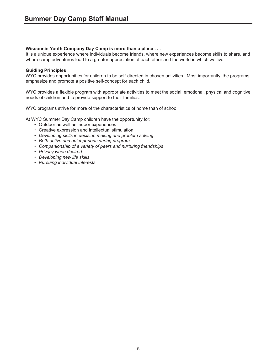#### **Wisconsin Youth Company Day Camp is more than a place . . .**

It is a unique experience where individuals become friends, where new experiences become skills to share, and where camp adventures lead to a greater appreciation of each other and the world in which we live.

#### **Guiding Principles**

WYC provides opportunities for children to be self-directed in chosen activities. Most importantly, the programs emphasize and promote a positive self-concept for each child.

WYC provides a flexible program with appropriate activities to meet the social, emotional, physical and cognitive needs of children and to provide support to their families.

WYC programs strive for more of the characteristics of home than of school.

At WYC Summer Day Camp children have the opportunity for:

- Outdoor as well as indoor experiences
- Creative expression and intellectual stimulation
- *• Developing skills in decision making and problem solving*
- *• Both active and quiet periods during program*
- *• Companionship of a variety of peers and nurturing friendships*
- *• Privacy when desired*
- *• Developing new life skills*
- *• Pursuing individual interests*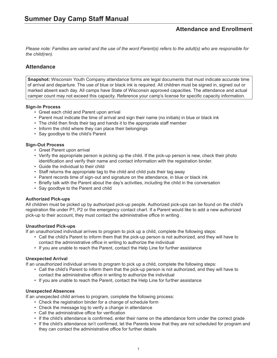*Please note: Families are varied and the use of the word Parent(s) refers to the adult(s) who are responsible for the child(ren).*

## **Attendance**

**Snapshot:** Wisconsin Youth Company attendance forms are legal documents that must indicate accurate time of arrival and departure. The use of blue or black ink is required. All children must be signed in, signed out or marked absent each day. All camps have State of Wisconsin approved capacities. The attendance and actual camper count may not exceed this capacity. Reference your camp's license for specific capacity information.

#### **Sign-In Process**

- Greet each child and Parent upon arrival
- Parent must indicate the time of arrival and sign their name (no initials) in blue or black ink
- The child then finds their tag and hands it to the appropriate staff member
- Inform the child where they can place their belongings
- Say goodbye to the child's Parent

#### **Sign-Out Process**

- Greet Parent upon arrival
- Verify the appropriate person is picking up the child. If the pick-up person is new, check their photo identification and verify their name and contact information with the registration binder.
- Guide the individual to their child
- Staff returns the appropriate tag to the child and child puts their tag away
- Parent records time of sign-out and signature on the attendance, in blue or black ink
- Briefly talk with the Parent about the day's activities, including the child in the conversation
- Say goodbye to the Parent and child

#### **Authorized Pick-ups**

All children must be picked up by authorized pick-up people. Authorized pick-ups can be found on the child's registration file under P1, P2 or the emergency contact chart. If a Parent would like to add a new authorized pick-up to their account, they must contact the administrative office in writing .

#### **Unauthorized Pick-ups**

If an unauthorized individual arrives to program to pick up a child, complete the following steps:

- Call the child's Parent to inform them that the pick-up person is not authorized, and they will have to contact the administrative office in writing to authorize the individual
- If you are unable to reach the Parent, contact the Help Line for further assistance

#### **Unexpected Arrival**

If an unauthorized individual arrives to program to pick up a child, complete the following steps:

- Call the child's Parent to inform them that the pick-up person is not authorized, and they will have to contact the administrative office in writing to authorize the individual
- If you are unable to reach the Parent, contact the Help Line for further assistance

#### **Unexpected Absences**

If an unexpected child arrives to program, complete the following process:

- Check the registration binder for a change of schedule form
- Check the message log to verify a change in attendance
- Call the administrative office for verification
- If the child's attendance is confirmed, enter their name on the attendance form under the correct grade
- If the child's attendance isn't confirmed, let the Parents know that they are not scheduled for program and they can contact the administrative office for further details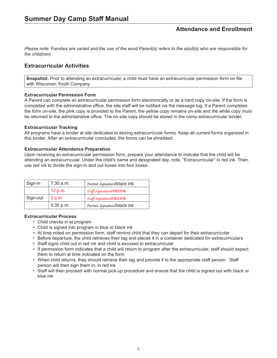*Please note: Families are varied and the use of the word Parent(s) refers to the adult(s) who are responsible for the child(ren).*

## **Extracurricular Activities**

**Snapshot:** Prior to attending an extracurricular, a child must have an extracurricular permission form on file with Wisconsin Youth Company.

#### **Extracurricular Permission Form**

A Parent can complete an extracurricular permission form electronically or as a hard copy on-site. If the form is completed with the administrative office, the site staff will be notified via the message log. If a Parent completes the form on-site, the pink copy is provided to the Parent, the yellow copy remains on-site and the white copy must be returned to the administrative office. The on-site copy should be stored in the camp extracurricular binder.

#### **Extracurricular Tracking**

All programs have a binder at site dedicated to storing extracurricular forms. Keep all current forms organized in this binder. After an extracurricular concludes, the forms can be shredded.

#### **Extracurricular Attendance Preparation**

Upon receiving an extracurricular permission form, prepare your attendance to indicate that the child will be attending an extracurricular. Under the child's name and designated day, note, "Extracurricular" in red ink. Then, use red ink to divide the sign-in and out boxes into four boxes.

| Sign-in  | 7:30 a.m. | Parent signature/black ink     |
|----------|-----------|--------------------------------|
|          | 12 p.m.   | <b>Staff Signature/red ink</b> |
| Sign-out | 2 p.m.    | <b>Staff Signature/red ink</b> |
|          | 5:30 p.m. | Parent signature/black ink     |

#### **Extracurricular Process**

- Child checks in at program
- Child is signed into program in blue or black ink
- At time noted on permission form, staff remind child that they can depart for their extracurricular
- Before departure, the child retrieves their tag and places it in a container dedicated for extracurriculars
- Staff signs child out in red ink and child is excused to extracurricular
- If permission form indicates that a child will return to program after the extracurricular, staff should expect them to return at time indicated on the form
- When child returns, they should retrieve their tag and provide it to the appropriate staff person. Staff person will then sign them in, in red ink
- Staff will then proceed with normal pick-up procedure and ensure that the child is signed out with black or blue ink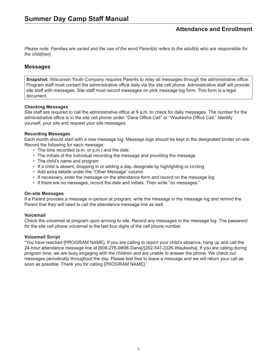*Please note: Families are varied and the use of the word Parent(s) refers to the adult(s) who are responsible for the child(ren).*

### **Messages**

**Snapshot:** Wisconsin Youth Company requires Parents to relay all messages through the administrative office. Program staff must contact the administrative office daily via the site cell phone. Administrative staff will provide site staff with messages. Site staff must record messages on pink message log form. This form is a legal document.

#### **Checking Messages**

Site staff are required to call the administrative office at 9 a.m. to check for daily messages. The number for the administrative office is in the site cell phone under "Dane Office Cell" or "Waukesha Office Cell." Identify yourself, your site and request your site messages.

#### **Recording Messages**

Each month should start with a new message log. Message logs should be kept in the designated binder on-site. Record the following for each message:

- The time recorded (a.m. or p.m.) and the date
- The initials of the individual recording the message and providing the message
- The child's name and program
- If a child is absent, dropping in or adding a day, designate by highlighting or circling
- Add extra details under the "Other Message" column
- If necessary, enter the message on the attendance form and record on the message log
- If there are no messages, record the date and initials. Then write "no messages."

#### **On-site Messages**

If a Parent provides a message in-person at program, write the message in the message log and remind the Parent that they will need to call the attendance message line as well.

#### **Voicemail**

Check the voicemail at program upon arriving to site. Record any messages in the message log. The password for the site cell phone voicemail is the last four digits of the cell phone number.

#### **Voicemail Script**

"You have reached [PROGRAM NAME]. If you are calling to report your child's absence, hang up and call the 24-hour attendance message line at [608-276-9898-Dane]/[262-547-2326-Waukesha]. If you are calling during program time, we are busy engaging with the children and are unable to answer the phone. We check our messages periodically throughout the day. Please feel free to leave a message and we will return your call as soon as possible. Thank you for calling [PROGRAM NAME]."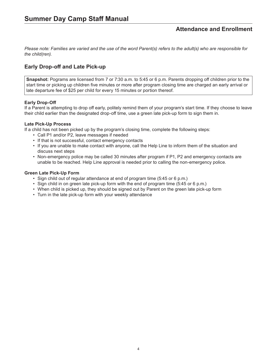*Please note: Families are varied and the use of the word Parent(s) refers to the adult(s) who are responsible for the child(ren).*

## **Early Drop-off and Late Pick-up**

**Snapshot:** Pograms are licensed from 7 or 7:30 a.m. to 5:45 or 6 p.m. Parents dropping off children prior to the start time or picking up children five minutes or more after program closing time are charged an early arrival or late departure fee of \$25 per child for every 15 minutes or portion thereof.

#### **Early Drop-Off**

If a Parent is attempting to drop off early, politely remind them of your program's start time. If they choose to leave their child earlier than the designated drop-off time, use a green late pick-up form to sign them in.

#### **Late Pick-Up Process**

If a child has not been picked up by the program's closing time, complete the following steps:

- Call P1 and/or P2, leave messages if needed
- If that is not successful, contact emergency contacts
- If you are unable to make contact with anyone, call the Help Line to inform them of the situation and discuss next steps
- Non-emergency police may be called 30 minutes after program if P1, P2 and emergency contacts are unable to be reached. Help Line approval is needed prior to calling the non-emergency police.

#### **Green Late Pick-Up Form**

- Sign child out of regular attendance at end of program time (5:45 or 6 p.m.)
- Sign child in on green late pick-up form with the end of program time (5:45 or 6 p.m.)
- When child is picked up, they should be signed out by Parent on the green late pick-up form
- Turn in the late pick-up form with your weekly attendance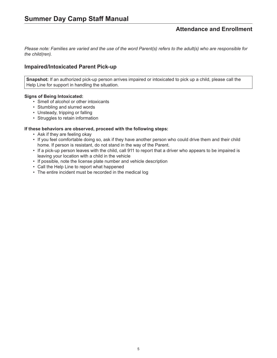*Please note: Families are varied and the use of the word Parent(s) refers to the adult(s) who are responsible for the child(ren).*

## **Impaired/Intoxicated Parent Pick-up**

**Snapshot:** If an authorized pick-up person arrives impaired or intoxicated to pick up a child, please call the Help Line for support in handling the situation.

#### **Signs of Being Intoxicated:**

- Smell of alcohol or other intoxicants
- Stumbling and slurred words
- Unsteady, tripping or falling
- Struggles to retain information

#### **If these behaviors are observed, proceed with the following steps:**

- Ask if they are feeling okay
- If you feel comfortable doing so, ask if they have another person who could drive them and their child home. If person is resistant, do not stand in the way of the Parent.
- If a pick-up person leaves with the child, call 911 to report that a driver who appears to be impaired is leaving your location with a child in the vehicle
- If possible, note the license plate number and vehicle description
- Call the Help Line to report what happened
- The entire incident must be recorded in the medical log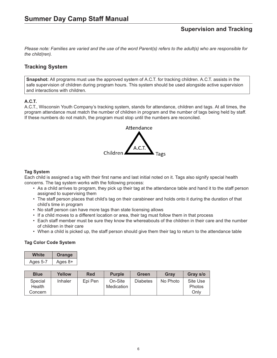*Please note: Families are varied and the use of the word Parent(s) refers to the adult(s) who are responsible for the child(ren).*

## **Tracking System**

**Snapshot:** All programs must use the approved system of A.C.T. for tracking children. A.C.T. assists in the safe supervision of children during program hours. This system should be used alongside active supervision and interactions with children.

#### **A.C.T.**

A.C.T., Wisconsin Youth Company's tracking system, stands for attendance, children and tags. At all times, the program attendance must match the number of children in program and the number of tags being held by staff. If these numbers do not match, the program must stop until the numbers are reconciled.



#### **Tag System**

Each child is assigned a tag with their first name and last initial noted on it. Tags also signify special health concerns. The tag system works with the following process:

- As a child arrives to program, they pick up their tag at the attendance table and hand it to the staff person assigned to supervising them
- The staff person places that child's tag on their carabineer and holds onto it during the duration of that child's time in program
- No staff person can have more tags than state licensing allows
- If a child moves to a different location or area, their tag must follow them in that process
- Each staff member must be sure they know the whereabouts of the children in their care and the number of children in their care
- When a child is picked up, the staff person should give them their tag to return to the attendance table

#### **Tag Color Code System**

| White    | Orange    |  |
|----------|-----------|--|
| Ages 5-7 | Ages $8+$ |  |

| <b>Blue</b>                  | Yellow  | <b>Red</b> | <b>Purple</b>         | <b>Green</b>    | Grav     | Gray s/o                   |
|------------------------------|---------|------------|-----------------------|-----------------|----------|----------------------------|
| Special<br>Health<br>Concern | Inhaler | Epi Pen    | On-Site<br>Medication | <b>Diabetes</b> | No Photo | Site Use<br>Photos<br>Only |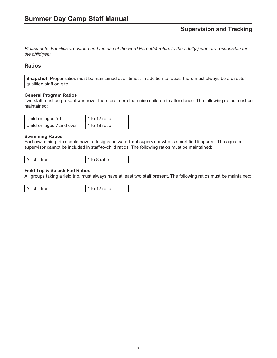*Please note: Families are varied and the use of the word Parent(s) refers to the adult(s) who are responsible for the child(ren).*

## **Ratios**

**Snapshot:** Proper ratios must be maintained at all times. In addition to ratios, there must always be a director qualified staff on-site.

#### **General Program Ratios**

Two staff must be present whenever there are more than nine children in attendance. The following ratios must be maintained:

| Children ages 5-6        | $\vert$ 1 to 12 ratio |
|--------------------------|-----------------------|
| Children ages 7 and over | 1 to 18 ratio         |

#### **Swimming Ratios**

Each swimming trip should have a designated waterfront supervisor who is a certified lifeguard. The aquatic supervisor cannot be included in staff-to-child ratios. The following ratios must be maintained:

All children 1 to 8 ratio

#### **Field Trip & Splash Pad Ratios**

All groups taking a field trip, must always have at least two staff present. The following ratios must be maintained:

All children 1 to 12 ratio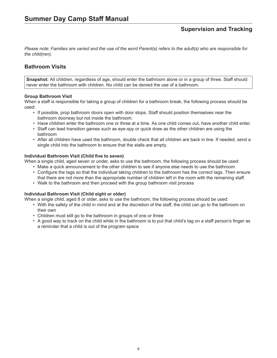*Please note: Families are varied and the use of the word Parent(s) refers to the adult(s) who are responsible for the child(ren).*

## **Bathroom Visits**

**Snapshot:** All children, regardless of age, should enter the bathroom alone or in a group of three. Staff should never enter the bathroom with children. No child can be denied the use of a bathroom.

#### **Group Bathroom Visit**

When a staff is responsible for taking a group of children for a bathroom break, the following process should be used:

- If possible, prop bathroom doors open with door stops. Staff should position themselves near the bathroom doorway but not inside the bathroom.
- Have children enter the bathroom one or three at a time. As one child comes out, have another child enter.
- Staff can lead transition games such as eye-spy or quick draw as the other children are using the bathroom
- After all children have used the bathroom, double check that all children are back in line. If needed, send a single child into the bathroom to ensure that the stalls are empty.

#### **Individual Bathroom Visit (Child five to seven)**

When a single child, aged seven or under, asks to use the bathroom, the following process should be used:

- Make a quick announcement to the other children to see if anyone else needs to use the bathroom
- Configure the tags so that the individual taking children to the bathroom has the correct tags. Then ensure that there are not more than the appropriate number of children left in the room with the remaining staff.
- Walk to the bathroom and then proceed with the group bathroom visit process

#### **Individual Bathroom Visit (Child eight or older)**

When a single child, aged 8 or older, asks to use the bathroom, the following process should be used:

- With the safety of the child in mind and at the discretion of the staff, the child can go to the bathroom on their own
- Children must still go to the bathroom in groups of one or three
- A good way to track on the child while in the bathroom is to put that child's tag on a staff person's finger as a reminder that a child is out of the program space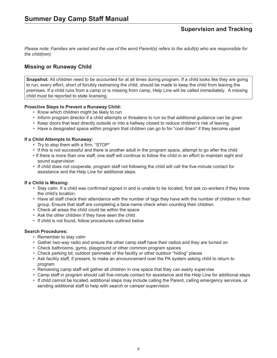*Please note: Families are varied and the use of the word Parent(s) refers to the adult(s) who are responsible for the child(ren).*

## **Missing or Runaway Child**

**Snapshot:** All children need to be accounted for at all times during program. If a child looks like they are going to run, every effort, short of forcibly restraining the child, should be made to keep the child from leaving the premises. If a child runs from a camp or is missing from camp, Help Line will be called immediately. A missing child must be reported to state licensing.

#### **Proactive Steps to Prevent a Runaway Child:**

- Know which children might be likely to run
- Inform program director if a child attempts or threatens to run so that additional guidance can be given
- Keep doors that lead directly outside or into a hallway closed to reduce children's risk of leaving
- Have a designated space within program that children can go to for "cool down" if they become upset

#### **If a Child Attempts to Runaway:**

- Try to stop them with a firm, "STOP"
- If this is not successful and there is another adult in the program space, attempt to go after the child
- If there is more than one staff, one staff will continue to follow the child in an effort to maintain sight and sound supervision
- If child does not cooperate, program staff not following the child will call the five-minute contact for assistance and the Help Line for additional steps

#### **If a Child is Missing:**

- Stay calm. If a child was confirmed signed in and is unable to be located, first ask co-workers if they know the child's location.
- Have all staff check their attendance with the number of tags they have with the number of children in their group. Ensure that staff are completing a face-name check when counting their children.
- Check all areas the child could be within the space
- Ask the other children if they have seen the child
- If child is not found, follow procedures outlined below

#### **Search Procedures:**

- Remember to stay calm
- Gather two-way radio and ensure the other camp staff have their radios and they are turned on
- Check bathrooms, gyms, playground or other common program spaces
- Check parking lot, outdoor perimeter of the facility or other outdoor "hiding" places
- Ask facility staff, if present, to make an announcement over the PA system asking child to return to program
- Remaining camp staff will gather all children in one space that they can easily supervise
- Camp staff in program should call five-minute contact for assistance and the Help Line for additional steps
- If child cannot be located, additional steps may include calling the Parent, calling emergency services, or sending additional staff to help with search or camper supervision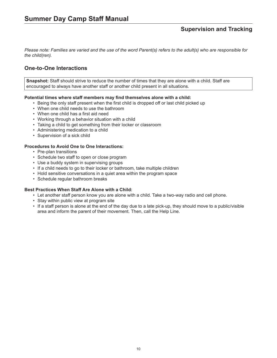*Please note: Families are varied and the use of the word Parent(s) refers to the adult(s) who are responsible for the child(ren).*

## **One-to-One Interactions**

**Snapshot:** Staff should strive to reduce the number of times that they are alone with a child. Staff are encouraged to always have another staff or another child present in all situations.

#### **Potential times where staff members may find themselves alone with a child:**

- Being the only staff present when the first child is dropped off or last child picked up
- When one child needs to use the bathroom
- When one child has a first aid need
- Working through a behavior situation with a child
- Taking a child to get something from their locker or classroom
- Administering medication to a child
- Supervision of a sick child

#### **Procedures to Avoid One to One Interactions:**

- Pre-plan transitions
- Schedule two staff to open or close program
- Use a buddy system in supervising groups
- If a child needs to go to their locker or bathroom, take multiple children
- Hold sensitive conversations in a quiet area within the program space
- Schedule regular bathroom breaks

#### **Best Practices When Staff Are Alone with a Child:**

- Let another staff person know you are alone with a child. Take a two-way radio and cell phone.
- Stay within public view at program site
- If a staff person is alone at the end of the day due to a late pick-up, they should move to a public/visible area and inform the parent of their movement. Then, call the Help Line.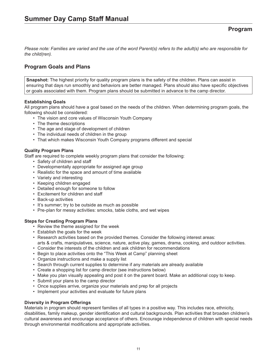## **Program Goals and Plans**

**Snapshot:** The highest priority for quality program plans is the safety of the children. Plans can assist in ensuring that days run smoothly and behaviors are better managed. Plans should also have specific objectives or goals associated with them. Program plans should be submitted in advance to the camp director.

#### **Establishing Goals**

All program plans should have a goal based on the needs of the children. When determining program goals, the following should be considered:

- The vision and core values of Wisconsin Youth Company
- The theme descriptions
- The age and stage of development of children
- The individual needs of children in the group
- That which makes Wisconsin Youth Company programs different and special

#### **Quality Program Plans**

Staff are required to complete weekly program plans that consider the following:

- Safety of children and staff
- Developmentally appropriate for assigned age group
- Realistic for the space and amount of time available
- Variety and interesting
- Keeping children engaged
- Detailed enough for someone to follow
- Excitement for children and staff
- Back-up activities
- It's summer; try to be outside as much as possible
- Pre-plan for messy activities: smocks, table cloths, and wet wipes

#### **Steps for Creating Program Plans**

- Review the theme assigned for the week
- Establish the goals for the week
- Research activities based on the provided themes. Consider the following interest areas: arts & crafts, manipulatives, science, nature, active play, games, drama, cooking, and outdoor activities.
- Consider the interests of the children and ask children for recommendations
- Begin to place activities onto the "This Week at Camp" planning sheet
- Organize instructions and make a supply list
- Search through current supplies to determine if any materials are already available
- Create a shopping list for camp director (see instructions below)
- Make you plan visually appealing and post it on the parent board. Make an additional copy to keep.
- Submit your plans to the camp director
- Once supplies arrive, organize your materials and prep for all projects
- Implement your activities and evaluate for future plans

#### **Diversity in Program Offerings**

Materials in program should represent families of all types in a positive way. This includes race, ethnicity, disabilities, family makeup, gender identification and cultural backgrounds. Plan activities that broaden children's cultural awareness and encourage acceptance of others. Encourage independence of children with special needs through environmental modifications and appropriate activities.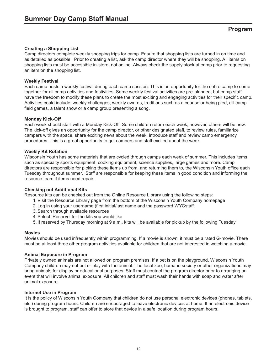#### **Creating a Shopping List**

Camp directors complete weekly shopping trips for camp. Ensure that shopping lists are turned in on time and as detailed as possible. Prior to creating a list, ask the camp director where they will be shopping. All items on shopping lists must be accessible in-store, not online. Always check the supply stock at camp prior to requesting an item on the shopping list.

#### **Weekly Festival**

Each camp hosts a weekly festival during each camp session. This is an opportunity for the entire camp to come together for all camp activities and festivities. Some weekly festival activities are pre-planned, but camp staff have the freedom to modify these plans to create the most exciting and engaging activities for their specific camp. Activities could include: weekly challenges, weekly awards, traditions such as a counselor being pied, all-camp field games, a talent show or a camp group presenting a song.

#### **Monday Kick-Off**

Each week should start with a Monday Kick-Off. Some children return each week; however, others will be new. The kick-off gives an opportunity for the camp director, or other designated staff, to review rules, familiarize campers with the space, share exciting news about the week, introduce staff and review camp emergency procedures. This is a great opportunity to get campers and staff excited about the week.

#### **Weekly Kit Rotation**

Wisconsin Youth has some materials that are cycled through camps each week of summer. This includes items such as specialty sports equipment, cooking equipment, science supplies, large games and more. Camp directors are responsible for picking these items up from, and returning them to, the Wisconsin Youth office each Tuesday throughout summer. Staff are responsible for keeping these items in good condition and informing the resource team if items need repair.

#### **Checking out Additional Kits**

Resource kits can be checked out from the Online Resource Library using the following steps:

- 1. Visit the Resource Library page from the bottom of the Wisconsin Youth Company homepage
- 2. Log in using your username (first initial/last name and the password WYCstaff
- 3.Search through available resources
- 4. Select 'Reserve' for the kits you would like
- 5. If reserved by Thursday morning at 9 a.m., kits will be available for pickup by the following Tuesday

#### **Movies**

Movies should be used infrequently within programming. If a movie is shown, it must be a rated G-movie. There must be at least three other program activities available for children that are not interested in watching a movie.

#### **Animal Exposure in Program**

Privately owned animals are not allowed on program premises. If a pet is on the playground, Wisconsin Youth Company children may not pet or play with the animal. The local zoo, humane society or other organizations may bring animals for display or educational purposes. Staff must contact the program director prior to arranging an event that will involve animal exposure. All children and staff must wash their hands with soap and water after animal exposure.

#### **Internet Use in Program**

It is the policy of Wisconsin Youth Company that children do not use personal electronic devices (phones, tablets, etc.) during program hours. Children are encouraged to leave electronic devices at home. If an electronic device is brought to program, staff can offer to store that device in a safe location during program hours.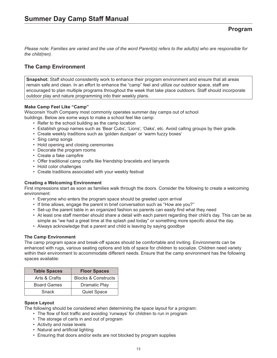# **The Camp Environment**

**Snapshot:** Staff should consistently work to enhance their program environment and ensure that all areas remain safe and clean. In an effort to enhance the "camp" feel and utilize our outdoor space, staff are encouraged to plan multiple programs throughout the week that take place outdoors. Staff should incorporate outdoor play and nature programming into their weekly plans.

#### **Make Camp Feel Like "Camp"**

Wisconsin Youth Company most commonly operates summer day camps out of school buildings. Below are some ways to make a school feel like camp:

- Refer to the school building as the camp location
- Establish group names such as 'Bear Cubs', 'Lions', 'Oaks', etc. Avoid calling groups by their grade.
- Create weekly traditions such as 'golden dustpan' or 'warm fuzzy boxes'
- Sing camp songs
- Hold opening and closing ceremonies
- Decorate the program rooms
- Create a fake campfire
- Offer traditional camp crafts like friendship bracelets and lanyards
- Hold color challenges
- Create traditions associated with your weekly festival

#### **Creating a Welcoming Environment**

First impressions start as soon as families walk through the doors. Consider the following to create a welcoming environment:

- Everyone who enters the program space should be greeted upon arrival
- If time allows, engage the parent in brief conversation such as "How are you?"
- Set-up the parent table in an organized fashion so parents can easily find what they need
- At least one staff member should share a detail with each parent regarding their child's day. This can be as simple as "we had a great time at the splash pad today" or something more specific about the day.
- Always acknowledge that a parent and child is leaving by saying goodbye

#### **The Camp Environment**

The camp program space and break-off spaces should be comfortable and inviting. Environments can be enhanced with rugs, various seating options and lots of space for children to socialize. Children need variety within their environment to accommodate different needs. Ensure that the camp environment has the following spaces available:

| <b>Table Spaces</b> | <b>Floor Spaces</b>            |
|---------------------|--------------------------------|
| Arts & Crafts       | <b>Blocks &amp; Constructs</b> |
| <b>Board Games</b>  | <b>Dramatic Play</b>           |
| Snack               | <b>Quiet Space</b>             |

#### **Space Layout**

The following should be considered when determining the space layout for a program:

- The flow of foot traffic and avoiding 'runways' for children to run in program
- The storage of carts in and out of program
- Activity and noise levels
- Natural and artificial lighting
- Ensuring that doors and/or exits are not blocked by program supplies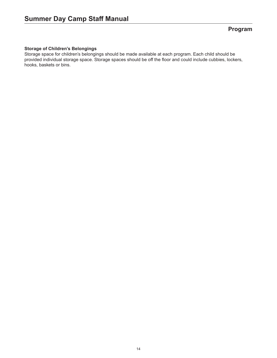#### **Storage of Children's Belongings**

Storage space for children's belongings should be made available at each program. Each child should be provided individual storage space. Storage spaces should be off the floor and could include cubbies, lockers, hooks, baskets or bins.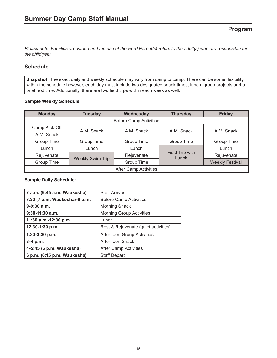## **Schedule**

**Snapshot:** The exact daily and weekly schedule may vary from camp to camp. There can be some flexibility within the schedule however, each day must include two designated snack times, lunch, group projects and a brief rest time. Additionally, there are two field trips within each week as well.

#### **Sample Weekly Schedule:**

| <b>Monday</b>                 | <b>Tuesday</b>          | Wednesday  | <b>Thursday</b>          | <b>Friday</b>          |
|-------------------------------|-------------------------|------------|--------------------------|------------------------|
| <b>Before Camp Activities</b> |                         |            |                          |                        |
| Camp Kick-Off                 | A.M. Snack              | A.M. Snack | A.M. Snack               | A.M. Snack             |
| A.M. Snack                    |                         |            |                          |                        |
| Group Time                    | Group Time              | Group Time | Group Time               | Group Time             |
| Lunch                         | Lunch                   | Lunch      |                          | Lunch                  |
| Rejuvenate                    |                         | Rejuvenate | Field Trip with<br>Lunch | Rejuvenate             |
| Group Time                    | <b>Weekly Swim Trip</b> | Group Time |                          | <b>Weekly Festival</b> |
| <b>After Camp Activities</b>  |                         |            |                          |                        |

#### **Sample Daily Schedule:**

| 7 a.m. (6:45 a.m. Waukesha)   | <b>Staff Arrives</b>                 |  |
|-------------------------------|--------------------------------------|--|
| 7:30 (7 a.m. Waukesha)-9 a.m. | <b>Before Camp Activities</b>        |  |
| $9-9:30$ a.m.                 | <b>Morning Snack</b>                 |  |
| $9:30-11:30$ a.m.             | <b>Morning Group Activities</b>      |  |
| 11:30 a.m.-12:30 p.m.         | Lunch                                |  |
| 12:30-1:30 p.m.               | Rest & Rejuvenate (quiet activities) |  |
| 1:30-3:30 p.m.                | Afternoon Group Activities           |  |
| $3-4 p.m.$                    | Afternoon Snack                      |  |
| 4-5:45 (6 p.m. Waukesha)      | <b>After Camp Activities</b>         |  |
| 6 p.m. (6:15 p.m. Waukesha)   | <b>Staff Depart</b>                  |  |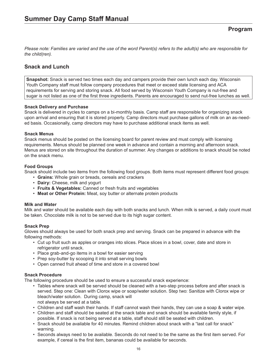## **Snack and Lunch**

**Snapshot:** Snack is served two times each day and campers provide their own lunch each day. Wisconsin Youth Company staff must follow company procedures that meet or exceed state licensing and ACA requirements for serving and storing snack. All food served by Wisconsin Youth Company is nut-free and sugar is not listed as one of the first three ingredients. Parents are encouraged to send nut-free lunches as well.

#### **Snack Delivery and Purchase**

Snack is delivered in cycles to camps on a bi-monthly basis. Camp staff are responsible for organizing snack upon arrival and ensuring that it is stored properly. Camp directors must purchase gallons of milk on an as-needed basis. Occasionally, camp directors may have to purchase additional snack items as well.

#### **Snack Menus**

Snack menus should be posted on the licensing board for parent review and must comply with licensing requirements. Menus should be planned one week in advance and contain a morning and afternoon snack. Menus are stored on site throughout the duration of summer. Any changes or additions to snack should be noted on the snack menu.

#### **Food Groups**

Snack should include two items from the following food groups. Both items must represent different food groups:

- **Grains:** Whole grain or breads, cereals and crackers
- **Dairy:** Cheese, milk and yogurt
- **Fruits & Vegetables:** Canned or fresh fruits and vegetables
- **Meat or Other Protein:** Meat, soy butter or alternate protein products

#### **Milk and Water**

Milk and water should be available each day with both snacks and lunch. When milk is served, a daily count must be taken. Chocolate milk is not to be served due to its high sugar content.

#### **Snack Prep**

Gloves should always be used for both snack prep and serving. Snack can be prepared in advance with the following methods:

- Cut up fruit such as apples or oranges into slices. Place slices in a bowl, cover, date and store in refrigerator until snack.
- Place grab-and-go items in a bowl for easier serving
- Prep soy-butter by scooping it into small serving bowls
- Open canned fruit ahead of time and store in a covered bowl

#### **Snack Procedure**

The following procedure should be used to ensure a successful snack experience:

- Tables where snack will be served should be cleaned with a two-step process before and after snack is served. Step one: Clean with Clorox wipe or soap/water solution. Step two: Sanitize with Clorox wipe or bleach/water solution. During camp, snack will not always be served at a table.
- Children and staff wash their hands. If staff cannot wash their hands, they can use a soap & water wipe.
- Children and staff should be seated at the snack table and snack should be available family style, if possible. If snack is not being served at a table, staff should still be seated with children.
- Snack should be available for 40 minutes. Remind children about snack with a "last call for snack" warning.
- Seconds always need to be available. Seconds do not need to be the same as the first item served. For example, if cereal is the first item, bananas could be available for seconds.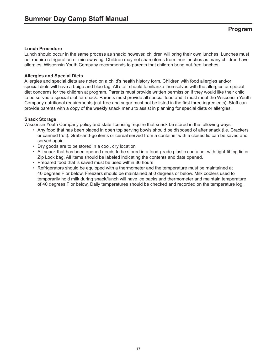#### **Lunch Procedure**

Lunch should occur in the same process as snack; however, children will bring their own lunches. Lunches must not require refrigeration or microwaving. Children may not share items from their lunches as many children have allergies. Wisconsin Youth Company recommends to parents that children bring nut-free lunches.

#### **Allergies and Special Diets**

Allergies and special diets are noted on a child's health history form. Children with food allergies and/or special diets will have a beige and blue tag. All staff should familiarize themselves with the allergies or special diet concerns for the children at program. Parents must provide written permission if they would like their child to be served a special diet for snack. Parents must provide all special food and it must meet the Wisconsin Youth Company nutritional requirements (nut-free and sugar must not be listed in the first three ingredients). Staff can provide parents with a copy of the weekly snack menu to assist in planning for special diets or allergies.

#### **Snack Storage**

Wisconsin Youth Company policy and state licensing require that snack be stored in the following ways:

- Any food that has been placed in open top serving bowls should be disposed of after snack (i.e. Crackers or canned fruit). Grab-and-go items or cereal served from a container with a closed lid can be saved and served again.
- Dry goods are to be stored in a cool, dry location
- All snack that has been opened needs to be stored in a food-grade plastic container with tight-fitting lid or Zip Lock bag. All items should be labeled indicating the contents and date opened.
- Prepared food that is saved must be used within 36 hours
- Refrigerators should be equipped with a thermometer and the temperature must be maintained at 40 degrees F or below. Freezers should be maintained at 0 degrees or below. Milk coolers used to temporarily hold milk during snack/lunch will have ice packs and thermometer and maintain temperature of 40 degrees F or below. Daily temperatures should be checked and recorded on the temperature log.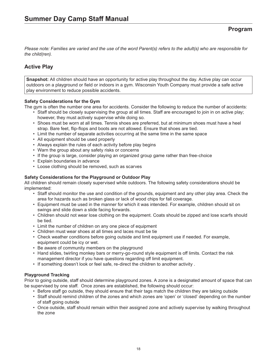# **Active Play**

**Snapshot:** All children should have an opportunity for active play throughout the day. Active play can occur outdoors on a playground or field or indoors in a gym. Wisconsin Youth Company must provide a safe active play environment to reduce possible accidents.

#### **Safety Considerations for the Gym**

The gym is often the number one area for accidents. Consider the following to reduce the number of accidents:

- Staff should be closely supervising the group at all times. Staff are encouraged to join in on active play; however, they must actively supervise while doing so.
- Shoes must be worn at all times. Tennis shoes are preferred, but at minimum shoes must have a heel strap. Bare feet, flip-flops and boots are not allowed. Ensure that shoes are tied.
- Limit the number of separate activities occurring at the same time in the same space
- All equipment should be used properly
- Always explain the rules of each activity before play begins
- Warn the group about any safety risks or concerns
- If the group is large, consider playing an organized group game rather than free-choice
- Explain boundaries in advance
- Loose clothing should be removed, such as scarves

#### **Safety Considerations for the Playground or Outdoor Play**

All children should remain closely supervised while outdoors. The following safety considerations should be implemented:

- Staff should monitor the use and condition of the grounds, equipment and any other play area. Check the area for hazards such as broken glass or lack of wood chips for fall coverage.
- Equipment must be used in the manner for which it was intended. For example, children should sit on swings and slide down a slide facing forwards.
- Children should not wear lose clothing on the equipment. Coats should be zipped and lose scarfs should be tied.
- Limit the number of children on any one piece of equipment
- Children must wear shoes at all times and laces must be tie
- Check weather conditions before going outside and limit equipment use if needed. For example, equipment could be icy or wet.
- Be aware of community members on the playground
- Hand slides, twirling monkey bars or merry-go-round style equipment is off limits. Contact the risk management director if you have questions regarding off limit equipment.
- If something doesn't look or feel safe, re-direct the children to another activity .

#### **Playground Tracking**

Prior to going outside, staff should determine playground zones. A zone is a designated amount of space that can be supervised by one staff. Once zones are established, the following should occur:

- Before staff go outside, they should ensure that their tags match the children they are taking outside
- Staff should remind children of the zones and which zones are 'open' or 'closed' depending on the number of staff going outside
- Once outside, staff should remain within their assigned zone and actively supervise by walking throughout the zone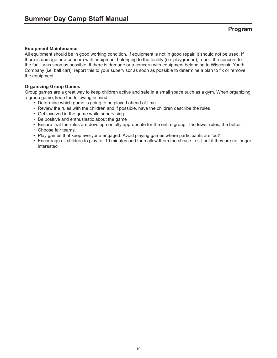#### **Equipment Maintenance**

All equipment should be in good working condition. If equipment is not in good repair, it should not be used. If there is damage or a concern with equipment belonging to the facility (i.e. playground), report the concern to the facility as soon as possible. If there is damage or a concern with equipment belonging to Wisconsin Youth Company (i.e. ball cart), report this to your supervisor as soon as possible to determine a plan to fix or remove the equipment.

#### **Organizing Group Games**

Group games are a great way to keep children active and safe in a small space such as a gym. When organizing a group game, keep the following in mind:

- Determine which game is going to be played ahead of time
- Review the rules with the children and if possible, have the children describe the rules
- Get involved in the game while supervising
- Be positive and enthusiastic about the game
- Ensure that the rules are developmentally appropriate for the entire group. The fewer rules, the better.
- Choose fair teams.
- Play games that keep everyone engaged. Avoid playing games where participants are 'out'
- Encourage all children to play for 10 minutes and then allow them the choice to sit-out if they are no longer interested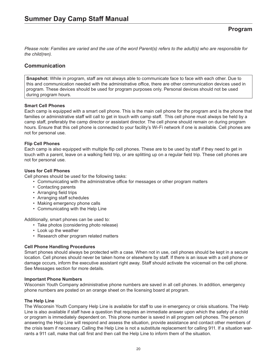## **Communication**

**Snapshot:** While in program, staff are not always able to communicate face to face with each other. Due to this and communication needed with the administrative office, there are other communication devices used in program. These devices should be used for program purposes only. Personal devices should not be used during program hours.

#### **Smart Cell Phones**

Each camp is equipped with a smart cell phone. This is the main cell phone for the program and is the phone that families or administrative staff will call to get in touch with camp staff. This cell phone must always be held by a camp staff, preferably the camp director or assistant director. The cell phone should remain on during program hours. Ensure that this cell phone is connected to your facility's Wi-Fi network if one is available. Cell phones are not for personal use.

#### **Flip Cell Phones**

Each camp is also equipped with multiple flip cell phones. These are to be used by staff if they need to get in touch with a parent, leave on a walking field trip, or are splitting up on a regular field trip. These cell phones are not for personal use.

#### **Uses for Cell Phones**

Cell phones should be used for the following tasks:

- Communicating with the administrative office for messages or other program matters
- Contacting parents
- Arranging field trips
- Arranging staff schedules
- Making emergency phone calls
- Communicating with the Help Line

Additionally, smart phones can be used to:

- Take photos (considering photo release)
- Look up the weather
- Research other program related matters

#### **Cell Phone Handling Procedures**

Smart phones should always be protected with a case. When not in use, cell phones should be kept in a secure location. Cell phones should never be taken home or elsewhere by staff. If there is an issue with a cell phone or damage occurs, inform the executive assistant right away. Staff should activate the voicemail on the cell phone. See Messages section for more details.

#### **Important Phone Numbers**

Wisconsin Youth Company administrative phone numbers are saved in all cell phones. In addition, emergency phone numbers are posted on an orange sheet on the licensing board at program.

#### **The Help Line**

The Wisconsin Youth Company Help Line is available for staff to use in emergency or crisis situations. The Help Line is also available if staff have a question that requires an immediate answer upon which the safety of a child or program is immediately dependent on. This phone number is saved in all program cell phones. The person answering the Help Line will respond and assess the situation, provide assistance and contact other members of the crisis team if necessary. Calling the Help Line is not a substitute replacement for calling 911. If a situation warrants a 911 call, make that call first and then call the Help Line to inform them of the situation.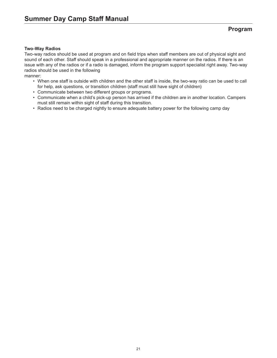#### **Two-Way Radios**

Two-way radios should be used at program and on field trips when staff members are out of physical sight and sound of each other. Staff should speak in a professional and appropriate manner on the radios. If there is an issue with any of the radios or if a radio is damaged, inform the program support specialist right away. Two-way radios should be used in the following

manner:

- When one staff is outside with children and the other staff is inside, the two-way ratio can be used to call for help, ask questions, or transition children (staff must still have sight of children)
- Communicate between two different groups or programs.
- Communicate when a child's pick-up person has arrived if the children are in another location. Campers must still remain within sight of staff during this transition.
- Radios need to be charged nightly to ensure adequate battery power for the following camp day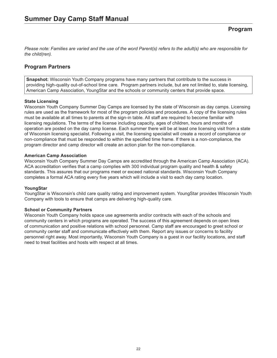## **Program Partners**

**Snapshot:** Wisconsin Youth Company programs have many partners that contribute to the success in providing high-quality out-of-school time care. Program partners include, but are not limited to, state licensing, American Camp Association, YoungStar and the schools or community centers that provide space.

#### **State Licensing**

Wisconsin Youth Company Summer Day Camps are licensed by the state of Wisconsin as day camps. Licensing rules are used as the framework for most of the program policies and procedures. A copy of the licensing rules must be available at all times to parents at the sign-in table. All staff are required to become familiar with licensing regulations. The terms of the license including capacity, ages of children, hours and months of operation are posted on the day camp license. Each summer there will be at least one licensing visit from a state of Wisconsin licensing specialist. Following a visit, the licensing specialist will create a record of compliance or non-compliance that must be responded to within the specified time frame. If there is a non-compliance, the program director and camp director will create an action plan for the non-compliance.

#### **American Camp Association**

Wisconsin Youth Company Summer Day Camps are accredited through the American Camp Association (ACA). ACA accreditation verifies that a camp complies with 300 individual program quality and health & safety standards. This assures that our programs meet or exceed national standards. Wisconsin Youth Company completes a formal ACA rating every five years which will include a visit to each day camp location.

#### **YoungStar**

YoungStar is Wisconsin's child care quality rating and improvement system. YoungStar provides Wisconsin Youth Company with tools to ensure that camps are delivering high-quality care.

#### **School or Community Partners**

Wisconsin Youth Company holds space use agreements and/or contracts with each of the schools and community centers in which programs are operated. The success of this agreement depends on open lines of communication and positive relations with school personnel. Camp staff are encouraged to greet school or community center staff and communicate effectively with them. Report any issues or concerns to facility personnel right away. Most importantly, Wisconsin Youth Company is a guest in our facility locations, and staff need to treat facilities and hosts with respect at all times.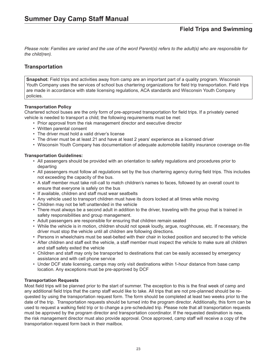*Please note: Families are varied and the use of the word Parent(s) refers to the adult(s) who are responsible for the child(ren).*

## **Transportation**

**Snapshot:** Field trips and activities away from camp are an important part of a quality program. Wisconsin Youth Company uses the services of school bus chartering organizations for field trip transportation. Field trips are made in accordance with state licensing regulations, ACA standards and Wisconsin Youth Company policies.

#### **Transportation Policy**

Chartered school buses are the only form of pre-approved transportation for field trips. If a privately owned vehicle is needed to transport a child; the following requirements must be met:

- Prior approval from the risk management director and executive director
- Written parental consent
- The driver must hold a valid driver's license
- The driver must be at least 21 and have at least 2 years' experience as a licensed driver
- Wisconsin Youth Company has documentation of adequate automobile liability insurance coverage on-file

#### **Transportation Guidelines:**

- All passengers should be provided with an orientation to safety regulations and procedures prior to departing
- All passengers must follow all regulations set by the bus chartering agency during field trips. This includes not exceeding the capacity of the bus.
- A staff member must take roll-call to match children's names to faces, followed by an overall count to ensure that everyone is safely on the bus
- If available, children and staff must wear seatbelts
- Any vehicle used to transport children must have its doors locked at all times while moving
- Children may not be left unattended in the vehicle
- There must always be a second adult in addition to the driver, traveling with the group that is trained in safety responsibilities and group management.
- Adult passengers are responsible for ensuring that children remain seated
- While the vehicle is in motion, children should not speak loudly, argue, roughhouse, etc. If necessary, the driver must stop the vehicle until all children are following directions.
- Persons in wheelchairs must be seat-belted with their chair in locked position and secured to the vehicle
- After children and staff exit the vehicle, a staff member must inspect the vehicle to make sure all children and staff safety exited the vehicle
- Children and staff may only be transported to destinations that can be easily accessed by emergency assistance and with cell phone service
- Under DCF state licensing, camps may only visit destinations within 1-hour distance from base camp location. Any exceptions must be pre-approved by DCF

#### **Transportation Requests**

Most field trips will be planned prior to the start of summer. The exception to this is the final week of camp and any additional field trips that the camp staff would like to take. All trips that are not pre-planned should be requested by using the transportation request form. The form should be completed at least two weeks prior to the date of the trip. Transportation requests should be turned into the program director. Additionally, this form can be used to request a walking field trip or to change a pre-scheduled trip. Please note that all transportation requests must be approved by the program director and transportation coordinator. If the requested destination is new, the risk management director must also provide approval. Once approved, camp staff will receive a copy of the transportation request form back in their mailbox.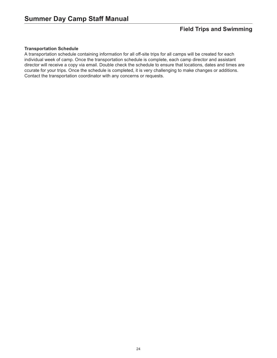#### **Transportation Schedule**

A transportation schedule containing information for all off-site trips for all camps will be created for each individual week of camp. Once the transportation schedule is complete, each camp director and assistant director will receive a copy via email. Double check the schedule to ensure that locations, dates and times are ccurate for your trips. Once the schedule is completed, it is very challenging to make changes or additions. Contact the transportation coordinator with any concerns or requests.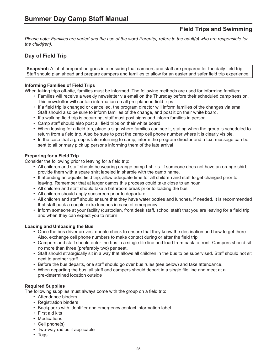*Please note: Families are varied and the use of the word Parent(s) refers to the adult(s) who are responsible for the child(ren).*

# **Day of Field Trip**

**Snapshot:** A lot of preparation goes into ensuring that campers and staff are prepared for the daily field trip. Staff should plan ahead and prepare campers and families to allow for an easier and safer field trip experience.

#### **Informing Families of Field Trips**

When taking trips off-site, families must be informed. The following methods are used for informing families:

- Families will receive a weekly newsletter via email on the Thursday before their scheduled camp session. This newsletter will contain information on all pre-planned field trips.
- If a field trip is changed or cancelled, the program director will inform families of the changes via email. Staff should also be sure to inform families of the change, and post it on their white board.
- If a walking field trip is occurring, staff must post signs and inform families in person
- Camp staff should also post all field trips on their white board
- When leaving for a field trip, place a sign where families can see it, stating when the group is scheduled to return from a field trip. Also be sure to post the camp cell phone number where it is clearly visible.
- In the case that a group is late returning to camp, inform the program director and a text message can be sent to all primary pick up persons informing them of the late arrival

#### **Preparing for a Field Trip**

Consider the following prior to leaving for a field trip:

- All children and staff should be wearing orange camp t-shirts. If someone does not have an orange shirt, provide them with a spare shirt labeled in sharpie with the camp name.
- If attending an aquatic field trip, allow adequate time for all children and staff to get changed prior to leaving. Remember that at larger camps this process could take close to an hour.
- All children and staff should take a bathroom break prior to loading the bus
- All children should apply sunscreen prior to departure
- All children and staff should ensure that they have water bottles and lunches, if needed. It is recommended that staff pack a couple extra lunches in case of emergency.
- Inform someone at your facility (custodian, front desk staff, school staff) that you are leaving for a field trip and when they can expect you to return

#### **Loading and Unloading the Bus**

- Once the bus driver arrives, double check to ensure that they know the destination and how to get there. Also, exchange cell phone numbers to make contact during or after the field trip
- Campers and staff should enter the bus in a single file line and load from back to front. Campers should sit no more than three (preferably two) per seat.
- Staff should strategically sit in a way that allows all children in the bus to be supervised. Staff should not sit next to another staff.
- Before the bus departs, one staff should go over bus rules (see below) and take attendance.
- When departing the bus, all staff and campers should depart in a single file line and meet at a pre-determined location outside

#### **Required Supplies**

The following supplies must always come with the group on a field trip:

- Attendance binders
- Registration binders
- Backpacks with identifier and emergency contact information label
- First aid kits
- Medications
- Cell phone(s)
- Two-way radios if applicable
- Tags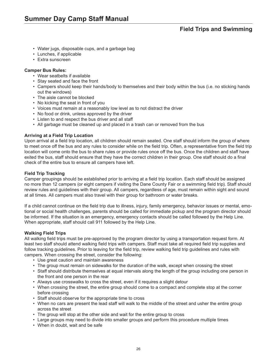- Water jugs, disposable cups, and a garbage bag
- Lunches, if applicable
- Extra sunscreen

#### **Camper Bus Rules:**

- Wear seatbelts if available
- Stay seated and face the front
- Campers should keep their hands/body to themselves and their body within the bus (i.e. no sticking hands out the windows)
- The aisle cannot be blocked
- No kicking the seat in front of you
- Voices must remain at a reasonably low level as to not distract the driver
- No food or drink, unless approved by the driver
- Listen to and respect the bus driver and all staff
- All garbage must be cleaned up and placed in a trash can or removed from the bus

#### **Arriving at a Field Trip Location**

Upon arrival at a field trip location, all children should remain seated. One staff should inform the group of where to meet once off the bus and any rules to consider while on the field trip. Often, a representative from the field trip location will come onto the bus to share rules or provide rules once off the bus. Once the children and staff have exited the bus, staff should ensure that they have the correct children in their group. One staff should do a final check of the entire bus to ensure all campers have left.

#### **Field Trip Tracking**

Camper groupings should be established prior to arriving at a field trip location. Each staff should be assigned no more than 12 campers (or eight campers if visiting the Dane County Fair or a swimming field trip). Staff should review rules and guidelines with their group. All campers, regardless of age, must remain within sight and sound at all times. All campers must also travel with their group for bathroom or water breaks.

If a child cannot continue on the field trip due to illness, injury, family emergency, behavior issues or mental, emotional or social health challenges, parents should be called for immediate pickup and the program director should be informed. If the situation is an emergency, emergency contacts should be called followed by the Help Line. When appropriate, staff should call 911 followed by the Help Line.

#### **Walking Field Trips**

All walking field trips must be pre-approved by the program director by using a transportation request form. At least two staff should attend walking field trips with campers. Staff must take all required field trip supplies and follow tracking guidelines. Prior to leaving for the field trip, review walking field trip guidelines and rules with campers. When crossing the street, consider the following:

- Use great caution and maintain awareness
- The group must remain on sidewalks for the duration of the walk, except when crossing the street
- Staff should distribute themselves at equal intervals along the length of the group including one person in the front and one person in the rear
- Always use crosswalks to cross the street, even if it requires a slight detour
- When crossing the street, the entire group should come to a compact and complete stop at the corner before crossing
- Staff should observe for the appropriate time to cross
- When no cars are present the lead staff will walk to the middle of the street and usher the entire group across the street
- The group will stop at the other side and wait for the entire group to cross
- Large groups may need to divide into smaller groups and perform this procedure multiple times
- When in doubt, wait and be safe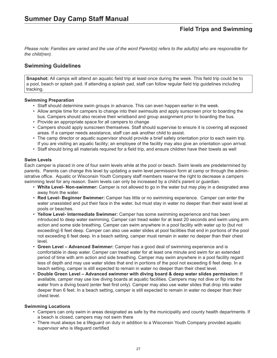*Please note: Families are varied and the use of the word Parent(s) refers to the adult(s) who are responsible for the child(ren).*

## **Swimming Guidelines**

**Snapshot:** All camps will attend an aquatic field trip at least once during the week. This field trip could be to a pool, beach or splash pad. If attending a splash pad, staff can follow regular field trip guidelines including tracking.

#### **Swimming Preparation**

- Staff should determine swim groups in advance. This can even happen earlier in the week.
- Allow ample time for campers to change into their swimsuits and apply sunscreen prior to boarding the bus. Campers should also receive their wristband and group assignment prior to boarding the bus.
- Provide an appropriate space for all campers to change
- Campers should apply sunscreen themselves. Staff should supervise to ensure it is covering all exposed areas. If a camper needs assistance, staff can ask another child to assist.
- The camp director or aquatic supervisor should provide a brief safety orientation prior to each swim trip. If you are visiting an aquatic facility; an employee of the facility may also give an orientation upon arrival.
- Staff should bring all materials required for a field trip, and ensure children have their towels as well

#### **Swim Levels**

Each camper is placed in one of four swim levels while at the pool or beach. Swim levels are predetermined by parents. Parents can change this level by updating a swim level permission form at camp or through the administrative office. Aquatic or Wisconsin Youth Company staff members reserve the right to decrease a campers swimming level for any reason. Swim levels can only be increased by a child's parent or guardian.

- **White Level- Non-swimmer:** Camper is not allowed to go in the water but may play in a designated area away from the water.
- **Red Level- Beginner Swimmer:** Camper has little or no swimming experience. Camper can enter the water unassisted and put their face in the water, but must stay in water no deeper than their waist level at pools or beaches.
- **Yellow Level- Intermediate Swimmer:** Camper has some swimming experience and has been introduced to deep water swimming. Camper can tread water for at least 20 seconds and swim using arm action and some side breathing. Camper can swim anywhere in a pool facility with water up to (but not exceeding) 6 feet deep. Camper can also use water slides at pool facilities that end in portions of the pool not exceeding 6 feet deep. In a beach setting, camper must remain in water no deeper than their chest level.
- **Green Level Advanced Swimmer:** Camper has a good deal of swimming experience and is comfortable in deep water. Camper can tread water for at least one minute and swim for an extended period of time with arm action and side breathing. Camper may swim anywhere in a pool facility regard less of depth and may use water slides that end in portions of the pool not exceeding 6 feet deep. In a beach setting, camper is still expected to remain in water no deeper than their chest level.
- **Double Green Level Advanced swimmer with diving board & deep water slides permission:** If available, camper may use low diving boards at aquatic facilities. Campers may not dive or flip into the water from a diving board (enter feet first only). Camper may also use water slides that drop into water deeper than 6 feet. In a beach setting, camper is still expected to remain in water no deeper than their chest level.

#### **Swimming Locations**

- Campers can only swim in areas designated as safe by the municipality and county health departments. If a beach is closed, campers may not swim there
- There must always be a lifeguard on duty in addition to a Wisconsin Youth Company provided aquatic supervisor who is lifeguard certified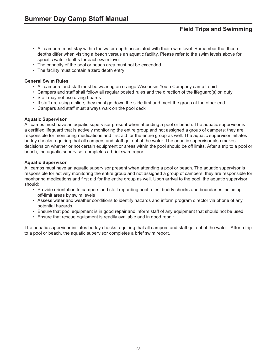- All campers must stay within the water depth associated with their swim level. Remember that these depths differ when visiting a beach versus an aquatic facility. Please refer to the swim levels above for specific water depths for each swim level
- The capacity of the pool or beach area must not be exceeded.
- The facility must contain a zero depth entry

#### **General Swim Rules**

- All campers and staff must be wearing an orange Wisconsin Youth Company camp t-shirt
- Campers and staff shall follow all regular posted rules and the direction of the lifeguard(s) on duty
- Staff may not use diving boards
- If staff are using a slide, they must go down the slide first and meet the group at the other end
- Campers and staff must always walk on the pool deck

#### **Aquatic Supervisor**

All camps must have an aquatic supervisor present when attending a pool or beach. The aquatic supervisor is a certified lifeguard that is actively monitoring the entire group and not assigned a group of campers; they are responsible for monitoring medications and first aid for the entire group as well. The aquatic supervisor initiates buddy checks requiring that all campers and staff get out of the water. The aquatic supervisor also makes decisions on whether or not certain equipment or areas within the pool should be off limits. After a trip to a pool or beach, the aquatic supervisor completes a brief swim report.

#### **Aquatic Supervisor**

All camps must have an aquatic supervisor present when attending a pool or beach. The aquatic supervisor is responsible for actively monitoring the entire group and not assigned a group of campers; they are responsible for monitoring medications and first aid for the entire group as well. Upon arrival to the pool, the aquatic supervisor should:

- Provide orientation to campers and staff regarding pool rules, buddy checks and boundaries including off-limit areas by swim levels
- Assess water and weather conditions to identify hazards and inform program director via phone of any potential hazards.
- Ensure that pool equipment is in good repair and inform staff of any equipment that should not be used
- Ensure that rescue equipment is readily available and in good repair

The aquatic supervisor initiates buddy checks requiring that all campers and staff get out of the water. After a trip to a pool or beach, the aquatic supervisor completes a brief swim report.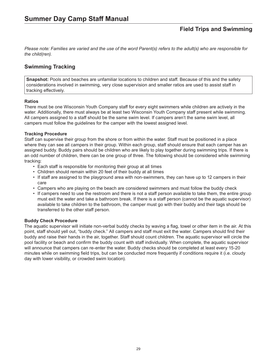*Please note: Families are varied and the use of the word Parent(s) refers to the adult(s) who are responsible for the child(ren).*

## **Swimming Tracking**

**Snapshot:** Pools and beaches are unfamiliar locations to children and staff. Because of this and the safety considerations involved in swimming, very close supervision and smaller ratios are used to assist staff in tracking effectively.

#### **Ratios**

There must be one Wisconsin Youth Company staff for every eight swimmers while children are actively in the water. Additionally, there must always be at least two Wisconsin Youth Company staff present while swimming. All campers assigned to a staff should be the same swim level. If campers aren't the same swim level, all campers must follow the guidelines for the camper with the lowest assigned level.

#### **Tracking Procedure**

Staff can supervise their group from the shore or from within the water. Staff must be positioned in a place where they can see all campers in their group. Within each group, staff should ensure that each camper has an assigned buddy. Buddy pairs should be children who are likely to play together during swimming trips. If there is an odd number of children, there can be one group of three. The following should be considered while swimming tracking:

- Each staff is responsible for monitoring their group at all times
- Children should remain within 20 feet of their buddy at all times
- If staff are assigned to the playground area with non-swimmers, they can have up to 12 campers in their care
- Campers who are playing on the beach are considered swimmers and must follow the buddy check
- If campers need to use the restroom and there is not a staff person available to take them, the entire group must exit the water and take a bathroom break. If there is a staff person (cannot be the aquatic supervisor) available to take children to the bathroom, the camper must go with their buddy and their tags should be transferred to the other staff person.

#### **Buddy Check Procedure**

The aquatic supervisor will initiate non-verbal buddy checks by waving a flag, towel or other item in the air. At this point, staff should yell out, "buddy check." All campers and staff must exit the water. Campers should find their buddy and raise their hands in the air, together. Staff should count children. The aquatic supervisor will circle the pool facility or beach and confirm the buddy count with staff individually. When complete, the aquatic supervisor will announce that campers can re-enter the water. Buddy checks should be completed at least every 15-20 minutes while on swimming field trips, but can be conducted more frequently if conditions require it (i.e. cloudy day with lower visibility, or crowded swim location).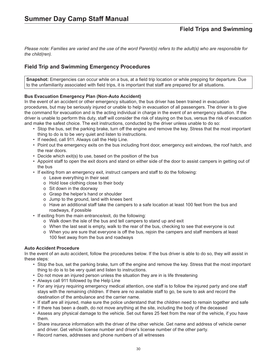*Please note: Families are varied and the use of the word Parent(s) refers to the adult(s) who are responsible for the child(ren).*

## **Field Trip and Swimming Emergency Procedures**

**Snapshot:** Emergencies can occur while on a bus, at a field trip location or while prepping for departure. Due to the unfamiliarity associated with field trips, it is important that staff are prepared for all situations.

#### **Bus Evacuation Emergency Plan (Non-Auto Accident)**

In the event of an accident or other emergency situation, the bus driver has been trained in evacuation procedures, but may be seriously injured or unable to help in evacuation of all passengers. The driver is to give the command for evacuation and is the acting individual in charge in the event of an emergency situation. If the driver is unable to perform this duty, staff will consider the risk of staying on the bus, versus the risk of evacuation and make the safest choice. The exit instructions, conducted by the driver unless unable to do so:

- Stop the bus, set the parking brake, turn off the engine and remove the key. Stress that the most important thing to do is to be very quiet and listen to instructions.
- If needed, call 911. Always call the Help Line.
- Point out the emergency exits on the bus including front door, emergency exit windows, the roof hatch, and the rear doors.
- Decide which exit(s) to use, based on the position of the bus
- Appoint staff to open the exit doors and stand on either side of the door to assist campers in getting out of the bus
- If exiting from an emergency exit, instruct campers and staff to do the following:
	- o Leave everything in their seat
	- o Hold lose clothing close to their body
	- o Sit down in the doorway
	- o Grasp the helper's hand or shoulder
	- o Jump to the ground, land with knees bent
	- o Have an additional staff take the campers to a safe location at least 100 feet from the bus and roadways, if possible
- If exiting from the main entrance/exit, do the following:
	- o Walk down the isle of the bus and tell campers to stand up and exit
	- o When the last seat is empty, walk to the rear of the bus, checking to see that everyone is out
	- o When you are sure that everyone is off the bus, rejoin the campers and staff members at least 100 feet away from the bus and roadways

#### **Auto Accident Procedure**

In the event of an auto accident, follow the procedures below. If the bus driver is able to do so, they will assist in these steps:

- Stop the bus, set the parking brake, turn off the engine and remove the key. Stress that the most important thing to do is to be very quiet and listen to instructions.
- Do not move an injured person unless the situation they are in is life threatening
- Always call 911 followed by the Help Line
- For any injury requiring emergency medical attention, one staff is to follow the injured party and one staff stays with the remaining children. If there are no available staff to go, be sure to ask and record the destination of the ambulance and the carrier name.
- If staff are all injured, make sure the police understand that the children need to remain together and safe
- If there has been a death, do not move anything at the site, including the body of the deceased
- Assess any physical damage to the vehicle. Set out flares 25 feet from the rear of the vehicle, if you have them.
- Share insurance information with the driver of the other vehicle. Get name and address of vehicle owner and driver. Get vehicle license number and driver's license number of the other party.
- Record names, addresses and phone numbers of all witnesses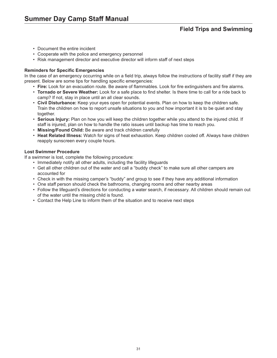- Document the entire incident
- Cooperate with the police and emergency personnel
- Risk management director and executive director will inform staff of next steps

#### **Reminders for Specific Emergencies**

In the case of an emergency occurring while on a field trip, always follow the instructions of facility staff if they are present. Below are some tips for handling specific emergencies:

- **Fire:** Look for an evacuation route. Be aware of flammables. Look for fire extinguishers and fire alarms.
- **Tornado or Severe Weather:** Look for a safe place to find shelter. Is there time to call for a ride back to camp? If not, stay in place until an all clear sounds.
- **Civil Disturbance:** Keep your eyes open for potential events. Plan on how to keep the children safe. Train the children on how to report unsafe situations to you and how important it is to be quiet and stay together.
- **Serious Injury:** Plan on how you will keep the children together while you attend to the injured child. If staff is injured, plan on how to handle the ratio issues until backup has time to reach you.
- **Missing/Found Child:** Be aware and track children carefully
- **Heat Related Illness:** Watch for signs of heat exhaustion. Keep children cooled off. Always have children reapply sunscreen every couple hours.

#### **Lost Swimmer Procedure**

If a swimmer is lost, complete the following procedure:

- Immediately notify all other adults, including the facility lifeguards
- Get all other children out of the water and call a "buddy check" to make sure all other campers are accounted for
- Check in with the missing camper's "buddy" and group to see if they have any additional information
- One staff person should check the bathrooms, changing rooms and other nearby areas
- Follow the lifeguard's directions for conducting a water search, if necessary. All children should remain out of the water until the missing child is found.
- Contact the Help Line to inform them of the situation and to receive next steps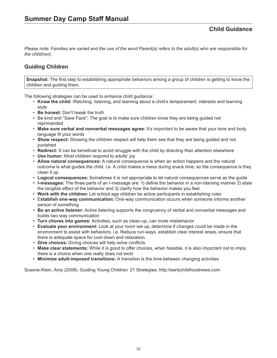# **Guiding Children**

**Snapshot:** The first step to establishing appropriate behaviors among a group of children is getting to know the children and guiding them.

The following strategies can be used to enhance child guidance:

- **Know the child:** Watching, listening, and learning about a child's temperament, interests and learning style
- **Be honest:** Don't tweak the truth
- Be kind and "Save Face": The goal is to make sure children know they are being guided not reprimanded
- **Make sure verbal and nonverbal messages agree:** It's important to be aware that your tone and body language fit your words
- **Show respect:** Showing the children respect will help them see that they are being guided and not punished
- **Redirect:** It can be beneficial to avoid struggle with the child by directing their attention elsewhere
- **Use humor:** Most children respond to adults' joy
- **Allow natural consequences:** A natural consequence is when an action happens and the natural outcome is what guides the child. i.e. A child makes a mess during snack time, so the consequence is they clean it up.
- **Logical consequences:** Sometimes it is not appropriate to let natural consequences serve as the guide
- **I-messages:** The three parts of an I-message are: 1) define the behavior in a non-blaming manner 2) state the tangible effect of the behavior and 3) clarify how the behavior makes you feel.
- **Work with the children:** Let school age children be active participants in establishing rules
- E**stablish one-way communication:** One-way communication occurs when someone informs another person of something
- **Be an active listener:** Active listening supports the congruency of verbal and nonverbal messages and builds two-way communication
- **Turn chores into games:** Activities, such as clean-up, can invite misbehavior
- **Evaluate your environment:** Look at your room set-up, determine if changes could be made in the environment to assist with behaviors. i.e. Reduce run-ways, establish clear interest areas, ensure that there is adequate space for cool-down and relaxation.
- **Give choices:** Giving choices will help solve conflicts
- **Make clear statements:** While it is good to offer choices, when feasible, it is also important not to imply there is a choice when one really does not exist
- **Minimize adult-imposed transitions:** A transition is the time between changing activities

Sussna-Klein, Amy (2008). Guiding Young Children: 21 Strategies, http://earlychildhoodnews.com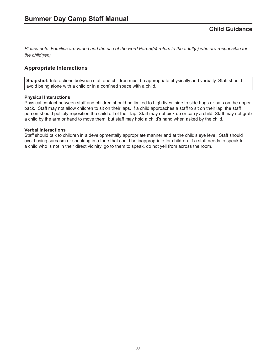## **Appropriate Interactions**

**Snapshot:** Interactions between staff and children must be appropriate physically and verbally. Staff should avoid being alone with a child or in a confined space with a child.

#### **Physical Interactions**

Physical contact between staff and children should be limited to high fives, side to side hugs or pats on the upper back. Staff may not allow children to sit on their laps. If a child approaches a staff to sit on their lap, the staff person should politely reposition the child off of their lap. Staff may not pick up or carry a child. Staff may not grab a child by the arm or hand to move them, but staff may hold a child's hand when asked by the child.

#### **Verbal Interactions**

Staff should talk to children in a developmentally appropriate manner and at the child's eye level. Staff should avoid using sarcasm or speaking in a tone that could be inappropriate for children. If a staff needs to speak to a child who is not in their direct vicinity, go to them to speak, do not yell from across the room.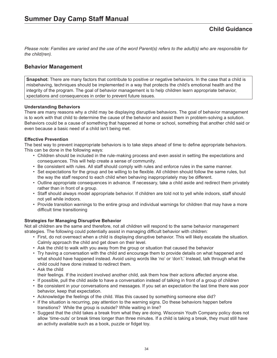## **Behavior Management**

**Snapshot:** There are many factors that contribute to positive or negative behaviors. In the case that a child is misbehaving, techniques should be implemented in a way that protects the child's emotional health and the integrity of the program. The goal of behavior management is to help children learn appropriate behavior, xpectations and consequences in order to prevent future issues.

## **Understanding Behaviors**

There are many reasons why a child may be displaying disruptive behaviors. The goal of behavior management is to work with that child to determine the cause of the behavior and assist them in problem-solving a solution. Behaviors could be a cause of something that happened at home or school, something that another child said or even because a basic need of a child isn't being met.

## **Effective Prevention**

The best way to prevent inappropriate behaviors is to take steps ahead of time to define appropriate behaviors. This can be done in the following ways:

- Children should be included in the rule-making process and even assist in setting the expectations and consequences. This will help create a sense of community.
- Be consistent with rules. All staff should comply with rules and enforce rules in the same manner.
- Set expectations for the group and be willing to be flexible. All children should follow the same rules, but the way the staff respond to each child when behaving inappropriately may be different.
- Outline appropriate consequences in advance. If necessary, take a child aside and redirect them privately rather than in front of a group.
- Staff should always model appropriate behavior. If children are told not to yell while indoors, staff should not yell while indoors.
- Provide transition warnings to the entire group and individual warnings for children that may have a more difficult time transitioning

### **Strategies for Managing Disruptive Behavior**

Not all children are the same and therefore, not all children will respond to the same behavior management strategies. The following could potentially assist in managing difficult behavior with children:

- First, do not overreact when a child is displaying disruptive behavior. This will likely escalate the situation. Calmly approach the child and get down on their level.
- Ask the child to walk with you away from the group or situation that caused the behavior
- Try having a conversation with the child and encourage them to provide details on what happened and what should have happened instead. Avoid using words like 'no' or 'don't.' Instead, talk through what the child could have done instead to redirect them.
- Ask the child
- their feelings. If the incident involved another child, ask them how their actions affected anyone else.
- If possible, pull the child aside to have a conversation instead of talking in front of a group of children
- Be consistent in your conversations and messages. If you set an expectation the last time there was poor behavior, keep that expectation.
- Acknowledge the feelings of the child. Was this caused by something someone else did?
- If the situation is recurring, pay attention to the warning signs. Do these behaviors happen before transitions? While the group is outside? While waiting in line?
- Suggest that the child takes a break from what they are doing. Wisconsin Youth Company policy does not allow 'time-outs' or break times longer than three minutes. If a child is taking a break, they must still have an activity available such as a book, puzzle or fidget toy.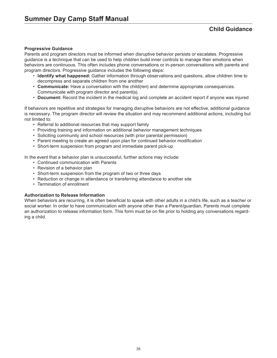# **Child Guidance**

#### **Progressive Guidance**

Parents and program directors must be informed when disruptive behavior persists or escalates. Progressive guidance is a technique that can be used to help children build inner controls to manage their emotions when behaviors are continuous. This often includes phone conversations or in-person conversations with parents and program directors. Progressive guidance includes the following steps:

- **Identify what happened:** Gather information through observations and questions, allow children time to decompress and separate children from one another
- **Communicate:** Have a conversation with the child(ren) and determine appropriate consequences. Communicate with program director and parent(s).
- **Document:** Record the incident in the medical log and complete an accident report if anyone was injured

If behaviors are repetitive and strategies for managing disruptive behaviors are not effective, additional guidance is necessary. The program director will review the situation and may recommend additional actions, including but not limited to:

- Referral to additional resources that may support family
- Providing training and information on additional behavior management techniques
- Soliciting community and school resources (with prior parental permission)
- Parent meeting to create an agreed upon plan for continued behavior modification
- Short-term suspension from program and immediate parent pick-up

In the event that a behavior plan is unsuccessful, further actions may include:

- Continued communication with Parents
- Revision of a behavior plan
- Short-term suspension from the program of two or three days
- Reduction or change in attendance or transferring attendance to another site
- Termination of enrollment

#### **Authorization to Release Information**

When behaviors are recurring, it is often beneficial to speak with other adults in a child's life, such as a teacher or social worker. In order to have communication with anyone other than a Parent/guardian, Parents must complete an authorization to release information form. This form must be on file prior to holding any conversations regarding a child.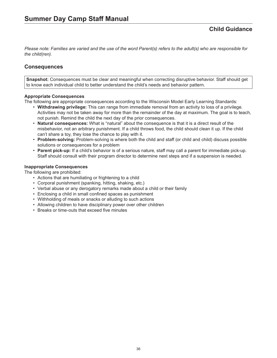## **Consequences**

**Snapshot:** Consequences must be clear and meaningful when correcting disruptive behavior. Staff should get to know each individual child to better understand the child's needs and behavior pattern.

## **Appropriate Consequences**

The following are appropriate consequences according to the Wisconsin Model Early Learning Standards:

- **Withdrawing privilege:** This can range from immediate removal from an activity to loss of a privilege. Activities may not be taken away for more than the remainder of the day at maximum. The goal is to teach, not punish. Remind the child the next day of the prior consequences.
- **Natural consequences:** What is "natural" about the consequence is that it is a direct result of the misbehavior, not an arbitrary punishment. If a child throws food, the child should clean it up. If the child can't share a toy, they lose the chance to play with it.
- **Problem-solving:** Problem-solving is where both the child and staff (or child and child) discuss possible solutions or consequences for a problem
- **Parent pick-up:** If a child's behavior is of a serious nature, staff may call a parent for immediate pick-up. Staff should consult with their program director to determine next steps and if a suspension is needed.

### **Inappropriate Consequences**

The following are prohibited:

- Actions that are humiliating or frightening to a child
- Corporal punishment (spanking, hitting, shaking, etc.)
- Verbal abuse or any derogatory remarks made about a child or their family
- Enclosing a child in small confined spaces as punishment
- Withholding of meals or snacks or alluding to such actions
- Allowing children to have disciplinary power over other children
- Breaks or time-outs that exceed five minutes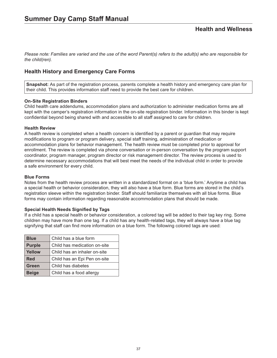## **Health History and Emergency Care Forms**

**Snapshot:** As part of the registration process, parents complete a health history and emergency care plan for their child. This provides information staff need to provide the best care for children.

### **On-Site Registration Binders**

Child health care addendums, accommodation plans and authorization to administer medication forms are all kept with the camper's registration information in the on-site registration binder. Information in this binder is kept confidential beyond being shared with and accessible to all staff assigned to care for children.

### **Health Review**

A health review is completed when a health concern is identified by a parent or guardian that may require modifications to program or program delivery, special staff training, administration of medication or accommodation plans for behavior management. The health review must be completed prior to approval for enrollment. The review is completed via phone conversation or in-person conversation by the program support coordinator, program manager, program director or risk management director. The review process is used to determine necessary accommodations that will best meet the needs of the individual child in order to provide a safe environment for every child.

### **Blue Forms**

Notes from the health review process are written in a standardized format on a 'blue form.' Anytime a child has a special health or behavior consideration, they will also have a blue form. Blue forms are stored in the child's registration sleeve within the registration binder. Staff should familiarize themselves with all blue forms. Blue forms may contain information regarding reasonable accommodation plans that should be made.

### **Special Health Needs Signified by Tags**

If a child has a special health or behavior consideration, a colored tag will be added to their tag key ring. Some children may have more than one tag. If a child has any health-related tags, they will always have a blue tag signifying that staff can find more information on a blue form. The following colored tags are used:

| <b>Blue</b>   | Child has a blue form        |  |  |
|---------------|------------------------------|--|--|
| <b>Purple</b> | Child has medication on-site |  |  |
| <b>Yellow</b> | Child has an inhaler on-site |  |  |
| <b>Red</b>    | Child has an Epi Pen on-site |  |  |
| Green         | Child has diabetes           |  |  |
| <b>Beige</b>  | Child has a food allergy     |  |  |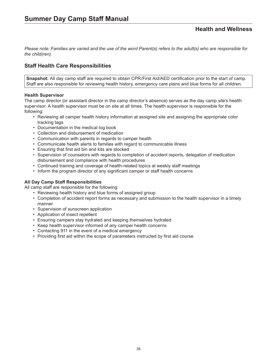*Please note: Families are varied and the use of the word Parent(s) refers to the adult(s) who are responsible for the child(ren).*

# **Staff Health Care Responsibilities**

**Snapshot:** All day camp staff are required to obtain CPR/First Aid/AED certification prior to the start of camp. Staff are also responsible for reviewing health history, emergency care plans and blue forms for all children.

### **Health Supervisor**

The camp director (or assistant director in the camp director's absence) serves as the day camp site's health supervisor. A health supervisor must be on site at all times. The health supervisor is responsible for the following:

- Reviewing all camper health history information at assigned site and assigning the appropriate color tracking tags
- Documentation in the medical log book
- Collection and disbursement of medication
- Communication with parents in regards to camper health
- Communicate health alerts to families with regard to communicable illness
- Ensuring that first aid bin and kits are stocked
- Supervision of counselors with regards to completion of accident reports, delegation of medication disbursement and compliance with health procedures
- Continued training and coverage of health-related topics at weekly staff meetings
- Inform the program director of any significant camper or staff health concerns

### **All Day Camp Staff Responsibilities**

All camp staff are responsible for the following:

- Reviewing health history and blue forms of assigned group
- Completion of accident report forms as necessary and submission to the health supervisor in a timely manner
- Supervision of sunscreen application
- Application of insect repellent
- Ensuring campers stay hydrated and keeping themselves hydrated
- Keep health supervisor informed of any camper health concerns
- Contacting 911 in the event of a medical emergency
- Providing first aid within the scope of parameters instructed by first aid course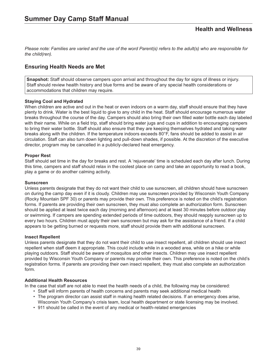# **Ensuring Health Needs are Met**

**Snapshot:** Staff should observe campers upon arrival and throughout the day for signs of illness or injury. Staff should review health history and blue forms and be aware of any special health considerations or accommodations that children may require.

### **Staying Cool and Hydrated**

When children are active and out in the heat or even indoors on a warm day, staff should ensure that they have plenty to drink. Water is the best liquid to give to any child in the heat. Staff should encourage numerous water breaks throughout the course of the day. Campers should also bring their own filled water bottle each day labeled with their name. While on a field trip, staff should bring water jugs and cups in addition to encouraging campers to bring their water bottle. Staff should also ensure that they are keeping themselves hydrated and taking water breaks along with the children. If the temperature indoors exceeds 80°F, fans should be added to assist in air circulation. Staff can also turn down lighting and pull-down shades, if possible. At the discretion of the executive director, program may be cancelled in a publicly-declared heat emergency.

### **Proper Rest**

Staff should set time in the day for breaks and rest. A 'rejuvenate' time is scheduled each day after lunch. During this time, campers and staff should relax in the coolest place on camp and take an opportunity to read a book, play a game or do another calming activity.

### **Sunscreen**

Unless parents designate that they do not want their child to use sunscreen, all children should have sunscreen on during the camp day even if it is cloudy. Children may use sunscreen provided by Wisconsin Youth Company (Rocky Mountain SPF 30) or parents may provide their own. This preference is noted on the child's registration forms. If parents are providing their own sunscreen, they must also complete an authorization form. Sunscreen should be applied at least twice each day (morning and afternoon) and at least 30 minutes before outdoor play or swimming. If campers are spending extended periods of time outdoors, they should reapply sunscreen up to every two hours. Children must apply their own sunscreen but may ask for the assistance of a friend. If a child appears to be getting burned or requests more, staff should provide them with additional sunscreen.

### **Insect Repellent**

Unless parents designate that they do not want their child to use insect repellent, all children should use insect repellent when staff deem it appropriate. This could include while in a wooded area, while on a hike or while playing outdoors. Staff should be aware of mosquitos and other insects. Children may use insect repellent provided by Wisconsin Youth Company or parents may provide their own. This preference is noted on the child's registration forms. If parents are providing their own insect repellent, they must also complete an authorization form.

### **Additional Health Resources**

In the case that staff are not able to meet the health needs of a child, the following may be considered:

- Staff will inform parents of health concerns and parents may seek additional medical health
- The program director can assist staff in making health related decisions. If an emergency does arise, Wisconsin Youth Company's crisis team, local health department or state licensing may be involved.
- 911 should be called in the event of any medical or health-related emergencies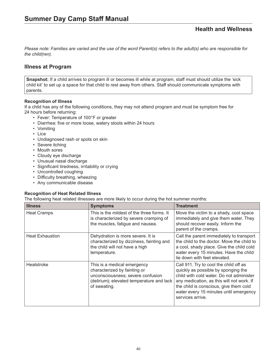*Please note: Families are varied and the use of the word Parent(s) refers to the adult(s) who are responsible for the child(ren).*

## **Illness at Program**

**Snapshot:** If a child arrives to program ill or becomes ill while at program, staff must should utilize the 'sick child kit' to set up a space for that child to rest away from others. Staff should communicate symptoms with parents.

### **Recognition of Illness**

If a child has any of the following conditions, they may not attend program and must be symptom free for 24 hours before returning:

- Fever: Temperature of 100°F or greater
	- Diarrhea: five or more loose, watery stools within 24 hours
	- Vomiting
	- Lice
	- Undiagnosed rash or spots on skin
	- Severe itching
	- Mouth sores
	- Cloudy eye discharge
	- Unusual nasal discharge
	- Significant tiredness, irritability or crying
	- Uncontrolled coughing
	- Difficulty breathing, wheezing
	- Any communicable disease

#### **Recognition of Heat Related Illness**

The following heat related illnesses are more likely to occur during the hot summer months:

| <b>Illness</b>         | <b>Symptoms</b>                                                                                                                                               | <b>Treatment</b>                                                                                                                                                                                                                                                               |
|------------------------|---------------------------------------------------------------------------------------------------------------------------------------------------------------|--------------------------------------------------------------------------------------------------------------------------------------------------------------------------------------------------------------------------------------------------------------------------------|
| <b>Heat Cramps</b>     | This is the mildest of the three forms. It<br>is characterized by severe cramping of<br>the muscles, fatigue and nausea.                                      | Move the victim to a shady, cool space<br>immediately and give them water. They<br>should recover easily. Inform the<br>parent of the cramps.                                                                                                                                  |
| <b>Heat Exhaustion</b> | Dehydration is more severe. It is<br>characterized by dizziness, fainting and<br>the child will not have a high<br>temperature.                               | Call the parent immediately to transport<br>the child to the doctor. Move the child to<br>a cool, shady place. Give the child cold<br>water every 15 minutes. Have the child<br>lie down with feet elevated.                                                                   |
| Heatstroke             | This is a medical emergency<br>characterized by fainting or<br>unconsciousness; severe confusion<br>(delirium); elevated temperature and lack<br>of sweating. | Call 911. Try to cool the child off as<br>quickly as possible by sponging the<br>child with cold water. Do not administer<br>any medication, as this will not work. If<br>the child is conscious, give them cold<br>water every 15 minutes until emergency<br>services arrive. |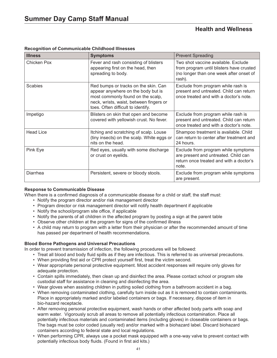| <b>Illness</b>   | <b>Symptoms</b>                                                                                                                                                                                  | <b>Prevent Spreading</b>                                                                                                             |  |
|------------------|--------------------------------------------------------------------------------------------------------------------------------------------------------------------------------------------------|--------------------------------------------------------------------------------------------------------------------------------------|--|
| Chicken Pox      | Fever and rash consisting of blisters<br>appearing first on the head, then<br>spreading to body.                                                                                                 | Two shot vaccine available. Exclude<br>from program until blisters have crusted<br>(no longer than one week after onset of<br>rash). |  |
| <b>Scabies</b>   | Red bumps or tracks on the skin. Can<br>appear anywhere on the body but is<br>most commonly found on the scalp,<br>neck, wrists, waist, between fingers or<br>toes. Often difficult to identify. | Exclude from program while rash is<br>present and untreated. Child can return<br>once treated and with a doctor's note.              |  |
| Impetigo         | Blisters on skin that open and become<br>covered with yellowish crust. No fever.                                                                                                                 | Exclude from program while rash is<br>present and untreated. Child can return<br>once treated and with a doctor's note.              |  |
| <b>Head Lice</b> | Itching and scratching of scalp. Louse<br>(tiny insects) on the scalp. White eggs or<br>nits on the head.                                                                                        | Shampoo treatment is available. Child<br>can return to center after treatment and<br>24 hours.                                       |  |
| Pink Eye         | Red eyes, usually with some discharge<br>or crust on eyelids.                                                                                                                                    | Exclude from program while symptoms<br>are present and untreated. Child can<br>return once treated and with a doctor's<br>note.      |  |
| Diarrhea         | Persistent, severe or bloody stools.                                                                                                                                                             | Exclude from program while symptoms<br>are present.                                                                                  |  |

## **Recognition of Communicable Childhood Illnesses**

### **Response to Communicable Disease**

When there is a confirmed diagnosis of a communicable disease for a child or staff, the staff must:

- Notify the program director and/or risk management director
- Program director or risk management director will notify health department if applicable
- Notify the school/program site office, if applicable
- Notify the parents of all children in the affected program by posting a sign at the parent table
- Observe other children at the program for signs of the confirmed illness
- A child may return to program with a letter from their physician or after the recommended amount of time has passed per department of health recommendations.

### **Blood Borne Pathogens and Universal Precautions**

In order to prevent transmission of infection, the following procedures will be followed:

- Treat all blood and body fluid spills as if they are infectious. This is referred to as universal precautions.
- When providing first aid or CPR protect yourself first, treat the victim second.
- Wear appropriate personal protective equipment. Most accident responses will require only gloves for adequate protection.
- Contain spills immediately, then clean up and disinfect the area. Please contact school or program site custodial staff for assistance in cleaning and disinfecting the area.
- Wear gloves when assisting children in putting soiled clothing from a bathroom accident in a bag.
- When removing contaminated clothing, carefully turn inside out as it is removed to contain contaminants. Place in appropriately marked and/or labeled containers or bags. If necessary, dispose of item in bio-hazard receptacle.
- After removing personal protective equipment, wash hands or other affected body parts with soap and warm water. Vigorously scrub all areas to remove all potentially infectious contamination. Place all potentially infectious materials and contaminated items (including gloves) in closeable containers or bags. The bags must be color coded (usually red) and/or marked with a biohazard label. Discard biohazard containers according to federal state and local regulations.
- When performing CPR, always use a pocket mask equipped with a one-way valve to prevent contact with potentially infectious body fluids. (Found in first aid kits.)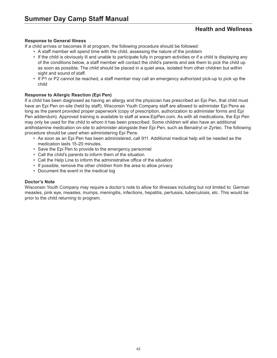### **Response to General Illness**

If a child arrives or becomes ill at program, the following procedure should be followed:

- A staff member will spend time with the child, assessing the nature of the problem
- If the child is obviously ill and unable to participate fully in program activities or if a child is displaying any of the conditions below, a staff member will contact the child's parents and ask them to pick the child up as soon as possible. The child should be placed in a quiet area, isolated from other children but within sight and sound of staff.
- If P1 or P2 cannot be reached, a staff member may call an emergency authorized pick-up to pick up the child

## **Response to Allergic Reaction (Epi Pen)**

If a child has been diagnosed as having an allergy and the physician has prescribed an Epi Pen, that child must have an Epi Pen on-site (held by staff). Wisconsin Youth Company staff are allowed to administer Epi Pens as long as the parent provided proper paperwork (copy of prescription, authorization to administer forms and Epi Pen addendum). Approved training is available to staff at www.EipPen.com. As with all medications, the Epi Pen may only be used for the child to whom it has been prescribed. Some children will also have an additional antihistamine medication on-site to administer alongside their Epi Pen, such as Benadryl or Zyrtec. The following procedure should be used when administering Epi Pens:

- As soon as an Epi Pen has been administered, call 911. Additional medical help will be needed as the medication lasts 15-20 minutes.
- Save the Epi Pen to provide to the emergency personnel
- Call the child's parents to inform them of the situation
- Call the Help Line to inform the administrative office of the situation
- If possible, remove the other children from the area to allow privacy
- Document the event in the medical log

### **Doctor's Note**

Wisconsin Youth Company may require a doctor's note to allow for illnesses including but not limited to: German measles, pink eye, measles, mumps, meningitis, infections, hepatitis, pertussis, tuberculosis, etc. This would be prior to the child returning to program.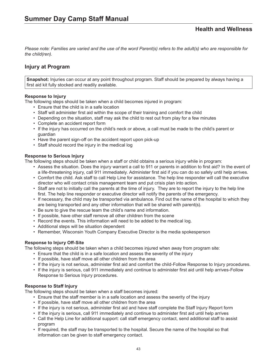# **Injury at Program**

**Snapshot:** Injuries can occur at any point throughout program. Staff should be prepared by always having a first aid kit fully stocked and readily available.

### **Response to Injury**

The following steps should be taken when a child becomes injured in program:

- Ensure that the child is in a safe location
- Staff will administer first aid within the scope of their training and comfort the child
- Depending on the situation, staff may ask the child to rest out from play for a few minutes
- Complete an accident report form
- If the injury has occurred on the child's neck or above, a call must be made to the child's parent or guardian
- Have the parent sign-off on the accident report upon pick-up
- Staff should record the injury in the medical log

### **Response to Serious Injury**

The following steps should be taken when a staff or child obtains a serious injury while in program:

- Assess the situation. Does the injury warrant a call to 911 or parents in addition to first aid? In the event of a life-threatening injury, call 911 immediately. Administer first aid if you can do so safely until help arrives.
- Comfort the child. Ask staff to call Help Line for assistance. The help line responder will call the executive director who will contact crisis management team and put crisis plan into action.
- Staff are not to initially call the parents at the time of injury. They are to report the injury to the help line first. The help line responder or executive director will notify the parents of the emergency.
- If necessary, the child may be transported via ambulance. Find out the name of the hospital to which they are being transported and any other information that will be shared with parent(s).
- Be sure to give the rescue team the child's name and information.
- If possible, have other staff remove all other children from the scene
- Record the events. This information will need to be added to the medical log.
- Additional steps will be situation dependent
- Remember, Wisconsin Youth Company Executive Director is the media spokesperson

### **Response to Injury Off-Site**

The following steps should be taken when a child becomes injured when away from program site:

- Ensure that the child is in a safe location and assess the severity of the injury
- If possible, have staff move all other children from the area
- If the injury is not serious, administer first aid and comfort the child-Follow Response to Injury procedures.
- If the injury is serious, call 911 immediately and continue to administer first aid until help arrives-Follow Response to Serious Injury procedures.

### **Response to Staff Injury**

The following steps should be taken when a staff becomes injured:

- Ensure that the staff member is in a safe location and assess the severity of the injury
- If possible, have staff move all other children from the area
- If the injury is not serious, administer first aid and have staff complete the Staff Injury Report form
- If the injury is serious, call 911 immediately and continue to administer first aid until help arrives
- Call the Help Line for additional support: call staff emergency contact, send additional staff to assist program
- If required, the staff may be transported to the hospital. Secure the name of the hospital so that information can be given to staff emergency contact.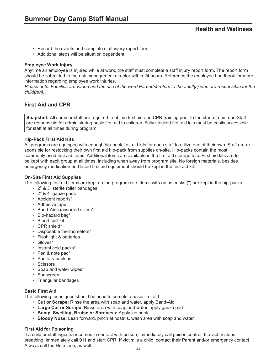- Record the events and complete staff injury report form
- Additional steps will be situation dependent

### **Employee Work Injury**

Anytime an employee is injured while at work, the staff must complete a staff injury report form. The report form should be submitted to the risk management director within 24 hours. Reference the employee handbook for more information regarding employee work injuries.

*Please note: Families are varied and the use of the word Parent(s) refers to the adult(s) who are responsible for the child(ren).*

## **First Aid and CPR**

**Snapshot:** All summer staff are required to obtain first aid and CPR training prior to the start of summer. Staff are responsible for administering basic first aid to children. Fully stocked first aid kits must be easily accessible for staff at all times during program.

## **Hip-Pack First Aid Kits**

All programs are equipped with enough hip-pack first aid kits for each staff to utilize one of their own. Staff are responsible for restocking their own first aid hip-pack from supplies on-site. Hip-packs contain the most commonly used first aid items. Additional items are available in the first aid storage tote. First aid kits are to be kept with each group at all times, including when away from program site. No foreign materials, besides emergency medication and listed first aid equipment should be kept in the first aid kit.

## **On-Site First Aid Supplies**

The following first aid items are kept on the program site. Items with an asterisks (\*) are kept in the hip-packs:

- 2" & 3" sterile roller bandages
- 2" & 4" gauze pads
- Accident reports\*
- Adhesive tape
- Band-Aids (assorted sizes)\*
- Bio-hazard bag\*
- Blood spill kit
- CPR shield\*
- Disposable thermometers\*
- Flashlight & batteries
- Gloves\*
- Instant cold packs\*
- Pen & note pad\*
- Sanitary napkins
- Scissors
- Soap and water wipes\*
- Sunscreen
- Triangular bandages

### **Basic First Aid**

The following techniques should be used to complete basic first aid:

- **Cut or Scrape:** Rinse the area with soap and water, apply Band-Aid
- **Large Cut or Scrape:** Rinse area with soap and water, apply gauze pad
- **Bump, Swelling, Bruise or Soreness:** Apply ice pack
- **Bloody Nose:** Lean forward, pinch at nostrils, wash area with soap and water

### **First Aid for Poisoning**

If a child or staff ingests or comes in contact with poison, immediately call poison control. If a victim stops breathing, immediately call 911 and start CPR. If victim is a child, contact their Parent and/or emergency contact. Always call the Help Line, as well.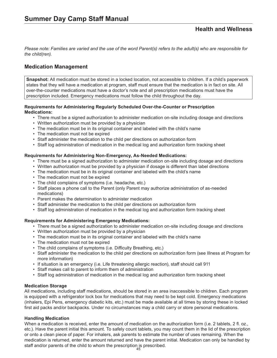## **Medication Management**

**Snapshot:** All medication must be stored in a locked location, not accessible to children. If a child's paperwork states that they will have a medication at program, staff must ensure that the medication is in fact on site. All over-the-counter medications must have a doctor's note and all prescription medications must have the prescription included. Emergency medications must follow the child throughout the day.

#### **Requirements for Administering Regularly Scheduled Over-the-Counter or Prescription Medications:**

- There must be a signed authorization to administer medication on-site including dosage and directions
- Written authorization must be provided by a physician
- The medication must be in its original container and labeled with the child's name
- The medication must not be expired
- Staff administer the medication to the child per directions on authorization form
- Staff log administration of medication in the medical log and authorization form tracking sheet

### **Requirements for Administering Non-Emergency, As-Needed Medications:**

- There must be a signed authorization to administer medication on-site including dosage and directions
- Written authorization must be provided by a physician if dosage is different than label directions
- The medication must be in its original container and labeled with the child's name
- The medication must not be expired
- The child complains of symptoms (i.e. headache, etc.)
- Staff places a phone call to the Parent (only Parent may authorize administration of as-needed medications)
- Parent makes the determination to administer medication
- Staff administer the medication to the child per directions on authorization form
- Staff log administration of medication in the medical log and authorization form tracking sheet

### **Requirements for Administering Emergency Medications:**

- There must be a signed authorization to administer medication on-site including dosage and directions
- Written authorization must be provided by a physician
- The medication must be in its original container and labeled with the child's name
- The medication must not be expired
- The child complains of symptoms (i.e. Difficulty Breathing, etc.)
- Staff administer the medication to the child per directions on authorization form (see Illness at Program for more information)
- If situation is an emergency (i.e. Life threatening allergic reaction), staff should call 911
- Staff makes call to parent to inform them of administration
- Staff log administration of medication in the medical log and authorization form tracking sheet

### **Medication Storage**

All medications, including staff medications, should be stored in an area inaccessible to children. Each program is equipped with a refrigerator lock box for medications that may need to be kept cold. Emergency medications (inhalers, Epi Pens, emergency diabetic kits, etc.) must be made available at all times by storing these in locked first aid packs and/or backpacks. Under no circumstances may a child carry or store personal medications.

### **Handling Medication**

When a medication is received, enter the amount of medication on the authorization form (i.e. 2 tablets, 2 fl. oz., etc.). Have the parent initial this amount. To safely count tablets, you may count them in the lid of the prescription or onto a clean piece of paper. For inhalers, ask parents to estimate the number of uses remaining. When the medication is returned, enter the amount returned and have the parent initial. Medication can only be handled by staff and/or parents of the child to whom the prescription is prescribed.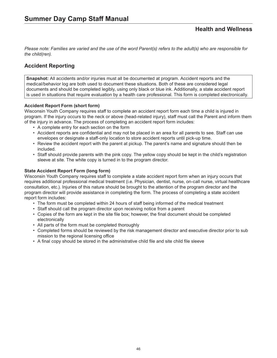*Please note: Families are varied and the use of the word Parent(s) refers to the adult(s) who are responsible for the child(ren).*

## **Accident Reporting**

**Snapshot:** All accidents and/or injuries must all be documented at program. Accident reports and the medical/behavior log are both used to document these situations. Both of these are considered legal documents and should be completed legibly, using only black or blue ink. Additionally, a state accident report is used in situations that require evaluation by a health care professional. This form is completed electronically.

## **Accident Report Form (short form)**

Wisconsin Youth Company requires staff to complete an accident report form each time a child is injured in program. If the injury occurs to the neck or above (head-related injury), staff must call the Parent and inform them of the injury in advance. The process of completing an accident report form includes:

- A complete entry for each section on the form
- Accident reports are confidential and may not be placed in an area for all parents to see. Staff can use envelopes or designate a staff-only location to store accident reports until pick-up time.
- Review the accident report with the parent at pickup. The parent's name and signature should then be included.
- Staff should provide parents with the pink copy. The yellow copy should be kept in the child's registration sleeve at site. The white copy is turned in to the program director.

### **State Accident Report Form (long form)**

Wisconsin Youth Company requires staff to complete a state accident report form when an injury occurs that requires additional professional medical treatment (i.e. Physician, dentist, nurse, on-call nurse, virtual healthcare consultation, etc.). Injuries of this nature should be brought to the attention of the program director and the program director will provide assistance in completing the form. The process of completing a state accident report form includes:

- The form must be completed within 24 hours of staff being informed of the medical treatment
- Staff should call the program director upon receiving notice from a parent
- Copies of the form are kept in the site file box; however, the final document should be completed electronically
- All parts of the form must be completed thoroughly
- Completed forms should be reviewed by the risk management director and executive director prior to sub mission to the regional licensing office
- A final copy should be stored in the administrative child file and site child file sleeve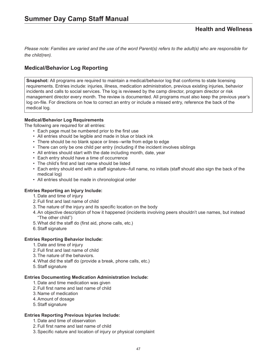# **Medical/Behavior Log Reporting**

**Snapshot:** All programs are required to maintain a medical/behavior log that conforms to state licensing requirements. Entries include: injuries, illness, medication administration, previous existing injuries, behavior incidents and calls to social services. The log is reviewed by the camp director, program director or risk management director every month. The review is documented. All programs must also keep the previous year's log on-file. For directions on how to correct an entry or include a missed entry, reference the back of the medical log.

## **Medical/Behavior Log Requirements**

The following are required for all entries:

- Each page must be numbered prior to the first use
- All entries should be legible and made in blue or black ink
- There should be no blank space or lines--write from edge to edge
- There can only be one child per entry (including if the incident involves siblings
- All entries should start with the date including month, date, year
- Each entry should have a time of occurrence
- The child's first and last name should be listed
- Each entry should end with a staff signature--full name, no initials (staff should also sign the back of the medical log)
- All entries should be made in chronological order

### **Entries Reporting an Injury Include:**

- 1. Date and time of injury
- 2. Full first and last name of child
- 3. The nature of the injury and its specific location on the body
- 4. An objective description of how it happened (incidents involving peers shouldn't use names, but instead "The other child")
- 5. What did the staff do (first aid, phone calls, etc.)
- 6.Staff signature

#### **Entries Reporting Behavior Include:**

- 1. Date and time of injury
- 2. Full first and last name of child
- 3. The nature of the behaviors.
- 4. What did the staff do (provide a break, phone calls, etc.)
- 5.Staff signature

#### **Entries Documenting Medication Administration Include:**

- 1. Date and time medication was given
- 2. Full first name and last name of child
- 3. Name of medication
- 4. Amount of dosage
- 5.Staff signature

### **Entries Reporting Previous Injuries Include:**

- 1. Date and time of observation
- 2. Full first name and last name of child
- 3.Specific nature and location of injury or physical complaint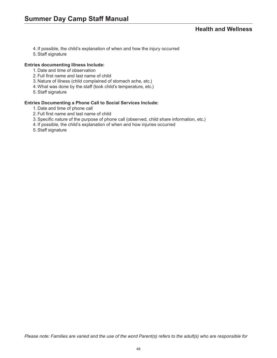- 4. If possible, the child's explanation of when and how the injury occurred
- 5.Staff signature

#### **Entries documenting Illness Include:**

- 1. Date and time of observation
- 2. Full first name and last name of child
- 3. Nature of illness (child complained of stomach ache, etc.)
- 4. What was done by the staff (took child's temperature, etc.)
- 5.Staff signature

#### **Entries Documenting a Phone Call to Social Services Include:**

- 1. Date and time of phone call
- 2. Full first name and last name of child
- 3.Specific nature of the purpose of phone call (observed, child share information, etc.)
- 4. If possible, the child's explanation of when and how injuries occurred
- 5.Staff signature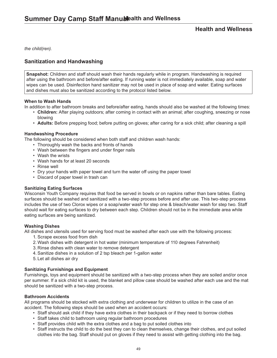*the child(ren).*

# **Sanitization and Handwashing**

**Snapshot:** Children and staff should wash their hands regularly while in program. Handwashing is required after using the bathroom and before/after eating. If running water is not immediately available, soap and water wipes can be used. Disinfection hand sanitizer may not be used in place of soap and water. Eating surfaces and dishes must also be sanitized according to the protocol listed below.

### **When to Wash Hands**

In addition to after bathroom breaks and before/after eating, hands should also be washed at the following times:

- **Children:** After playing outdoors; after coming in contact with an animal; after coughing, sneezing or nose blowing
- **Adults:** Before prepping food; before putting on gloves; after caring for a sick child; after cleaning a spill

#### **Handwashing Procedure**

The following should be considered when both staff and children wash hands:

- Thoroughly wash the backs and fronts of hands
- Wash between the fingers and under finger nails
- Wash the wrists
- Wash hands for at least 20 seconds
- Rinse well
- Dry your hands with paper towel and turn the water off using the paper towel
- Discard of paper towel in trash can

### **Sanitizing Eating Surfaces**

Wisconsin Youth Company requires that food be served in bowls or on napkins rather than bare tables. Eating surfaces should be washed and sanitized with a two-step process before and after use. This two-step process includes the use of two Clorox wipes or a soap/water wash for step one & bleach/water wash for step two. Staff should wait for eating surfaces to dry between each step. Children should not be in the immediate area while eating surfaces are being sanitized.

### **Washing Dishes**

All dishes and utensils used for serving food must be washed after each use with the following process:

- 1. Scrape excess food from dish
- 2. Wash dishes with detergent in hot water (minimum temperature of 110 degrees Fahrenheit)
- 3. Rinse dishes with clean water to remove detergent
- 4. Sanitize dishes in a solution of 2 tsp bleach per 1-gallon water
- 5. Let all dishes air dry

### **Sanitizing Furnishings and Equipment**

Furnishings, toys and equipment should be sanitized with a two-step process when they are soiled and/or once per summer. If a sick child kit is used, the blanket and pillow case should be washed after each use and the mat should be sanitized with a two-step process.

### **Bathroom Accidents**

All programs should be stocked with extra clothing and underwear for children to utilize in the case of an accident. The following steps should be used when an accident occurs:

- Staff should ask child if they have extra clothes in their backpack or if they need to borrow clothes
- Staff takes child to bathroom using regular bathroom procedures
- Staff provides child with the extra clothes and a bag to put soiled clothes into
- Staff instructs the child to do the best they can to clean themselves, change their clothes, and put soiled clothes into the bag. Staff should put on gloves if they need to assist with getting clothing into the bag.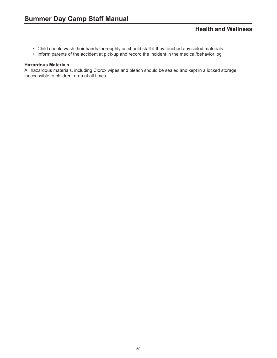- Child should wash their hands thoroughly as should staff if they touched any soiled materials
- Inform parents of the accident at pick-up and record the incident in the medical/behavior log

#### **Hazardous Materials**

All hazardous materials, including Clorox wipes and bleach should be sealed and kept in a locked storage, inaccessible to children, area at all times.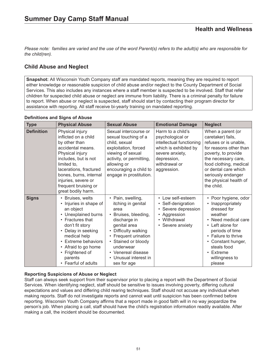# **Child Abuse and Neglect**

**Snapshot:** All Wisconsin Youth Company staff are mandated reports, meaning they are required to report either knowledge or reasonable suspicion of child abuse and/or neglect to the County Department of Social Services. This also includes any instances where a staff member is suspected to be involved. Staff that refer children for suspected child abuse or neglect are immune from liability. There is a criminal penalty for failure to report. When abuse or neglect is suspected, staff should start by contacting their program director for assistance with reporting. All staff receive bi-yearly training on mandated reporting.

| <b>Type</b>       | <b>Physical Abuse</b>                                                                                                                                                                                                                                            | <b>Sexual Abuse</b>                                                                                                                                                                                                                                                  | <b>Emotional Damage</b>                                                                                                                                      | <b>Neglect</b>                                                                                                                                                                                                                                               |
|-------------------|------------------------------------------------------------------------------------------------------------------------------------------------------------------------------------------------------------------------------------------------------------------|----------------------------------------------------------------------------------------------------------------------------------------------------------------------------------------------------------------------------------------------------------------------|--------------------------------------------------------------------------------------------------------------------------------------------------------------|--------------------------------------------------------------------------------------------------------------------------------------------------------------------------------------------------------------------------------------------------------------|
| <b>Definition</b> | Physical injury<br>inflicted on a child<br>by other than<br>accidental means.<br>Physical injury<br>includes, but is not<br>limited to,<br>lacerations, fractured<br>bones, burns, internal<br>injuries, severe or<br>frequent bruising or<br>great bodily harm. | Sexual intercourse or<br>sexual touching of a<br>child, sexual<br>exploitation, forced<br>viewing of sexual<br>activity, or permitting,<br>allowing or<br>encouraging a child to<br>engage in prostitution.                                                          | Harm to a child's<br>psychological or<br>intellectual functioning<br>which is exhibited by<br>severe anxiety,<br>depression,<br>withdrawal or<br>aggression. | When a parent (or<br>caretaker) fails,<br>refuses or is unable,<br>for reasons other than<br>poverty, to provide<br>the necessary care,<br>food clothing, medical<br>or dental care which<br>seriously endanger<br>the physical health of<br>the child.      |
| <b>Signs</b>      | • Bruises, welts<br>• Injuries in shape of<br>an object<br>• Unexplained burns<br>• Fractures that<br>don't fit story<br>• Delay in seeking<br>medical help<br>• Extreme behaviors<br>• Afraid to go home<br>• Frightened of<br>parents<br>• Fearful of adults   | • Pain, swelling,<br>itching in genital<br>area<br>• Bruises, bleeding,<br>discharge in<br>genital area<br>Difficulty walking<br>$\bullet$<br>• Frequent urination<br>• Stained or bloody<br>underwear<br>• Venereal disease<br>• Unusual interest in<br>sex for age | • Low self-esteem<br>• Self-denigration<br>• Severe depression<br>• Aggression<br>• Withdrawal<br>• Severe anxiety                                           | • Poor hygiene, odor<br>Inappropriately<br>$\bullet$<br>dressed for<br>weather<br>• Need medical care<br>• Left alone for<br>periods of time<br>• Failure to thrive<br>Constant hunger,<br>$\bullet$<br>steals food<br>• Extreme<br>willingness to<br>please |

## **Definitions and Signs of Abuse**

## **Reporting Suspicions of Abuse or Neglect**

Staff can always seek support from their supervisor prior to placing a report with the Department of Social Services. When identifying neglect, staff should be sensitive to issues involving poverty, differing cultural expectations and values and differing child rearing techniques. Staff should not accuse any individual when making reports. Staff do not investigate reports and cannot wait until suspicion has been confirmed before reporting. Wisconsin Youth Company affirms that a report made in good faith will in no way jeopardize the person's job. When placing a call, staff should have the child's registration information readily available. After making a call, the incident should be documented.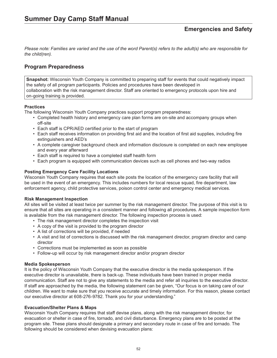## **Program Preparedness**

**Snapshot:** Wisconsin Youth Company is committed to preparing staff for events that could negatively impact the safety of all program participants. Policies and procedures have been developed in collaboration with the risk management director. Staff are oriented to emergency protocols upon hire and on-going training is provided.

## **Practices**

The following Wisconsin Youth Company practices support program preparedness:

- Completed health history and emergency care plan forms are on-site and accompany groups when off-site
- Each staff is CPR/AED certified prior to the start of program
- Each staff receives information on providing first aid and the location of first aid supplies, including fire extinguishers and AED's
- A complete caregiver background check and information disclosure is completed on each new employee and every year afterward
- Each staff is required to have a completed staff health form
- Each program is equipped with communication devices such as cell phones and two-way radios

### **Posting Emergency Care Facility Locations**

Wisconsin Youth Company requires that each site posts the location of the emergency care facility that will be used in the event of an emergency. This includes numbers for local rescue squad, fire department, law enforcement agency, child protective services, poison control center and emergency medical services.

### **Risk Management Inspection**

All sites will be visited at least twice per summer by the risk management director. The purpose of this visit is to ensure that all sites are operating in a consistent manner and following all procedures. A sample inspection form is available from the risk management director. The following inspection process is used:

- The risk management director completes the inspection visit
- A copy of the visit is provided to the program director
- A list of corrections will be provided, if needed
- A visit and list of corrections is discussed with the risk management director, program director and camp director
- Corrections must be implemented as soon as possible
- Follow-up will occur by risk management director and/or program director

### **Media Spokesperson**

It is the policy of Wisconsin Youth Company that the executive director is the media spokesperson. If the executive director is unavailable, there is back-up. These individuals have been trained in proper media communication. Staff are not to give any statements to the media and refer all inquiries to the executive director. If staff are approached by the media, the following statement can be given, "Our focus is on taking care of our children. We want to make sure that you receive accurate and timely information. For this reason, please contact our executive director at 608-276-9782. Thank you for your understanding."

#### **Evacuation/Shelter Plans & Maps**

Wisconsin Youth Company requires that staff devise plans, along with the risk management director, for evacuation or shelter in case of fire, tornado, and civil disturbance. Emergency plans are to be posted at the program site. These plans should designate a primary and secondary route in case of fire and tornado. The following should be considered when devising evacuation plans: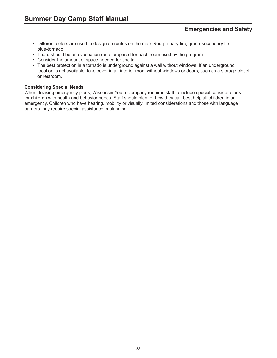# **Emergencies and Safety**

- Different colors are used to designate routes on the map: Red-primary fire; green-secondary fire; blue-tornado.
- There should be an evacuation route prepared for each room used by the program
- Consider the amount of space needed for shelter
- The best protection in a tornado is underground against a wall without windows. If an underground location is not available, take cover in an interior room without windows or doors, such as a storage closet or restroom.

#### **Considering Special Needs**

When devising emergency plans, Wisconsin Youth Company requires staff to include special considerations for children with health and behavior needs. Staff should plan for how they can best help all children in an emergency. Children who have hearing, mobility or visually limited considerations and those with language barriers may require special assistance in planning.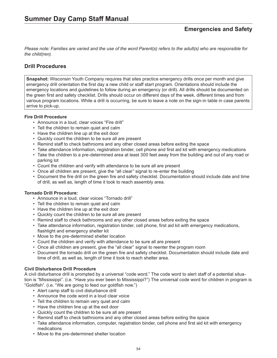# **Drill Procedures**

**Snapshot:** Wisconsin Youth Company requires that sites practice emergency drills once per month and give emergency drill orientation the first day a new child or staff start program. Orientations should include the emergency locations and guidelines to follow during an emergency (or drill). All drills should be documented on the green first and safety checklist. Drills should occur on different days of the week, different times and from various program locations. While a drill is occurring, be sure to leave a note on the sign-in table in case parents arrive to pick-up.

## **Fire Drill Procedure**

- Announce in a loud, clear voices "Fire drill"
- Tell the children to remain quiet and calm
- Have the children line up at the exit door
- Quickly count the children to be sure all are present
- Remind staff to check bathrooms and any other closed areas before exiting the space
- Take attendance information, registration binder, cell phone and first aid kit with emergency medications
- Take the children to a pre-determined area at least 300 feet away from the building and out of any road or parking lot
- Count the children and verify with attendance to be sure all are present
- Once all children are present, give the "all clear" signal to re-enter the building
- Document the fire drill on the green fire and safety checklist. Documentation should include date and time of drill, as well as, length of time it took to reach assembly area.

### **Tornado Drill Procedure:**

- Announce in a loud, clear voices "Tornado drill"
- Tell the children to remain quiet and calm
- Have the children line up at the exit door
- Quickly count the children to be sure all are present
- Remind staff to check bathrooms and any other closed areas before exiting the space
- Take attendance information, registration binder, cell phone, first aid kit with emergency medications, flashlight and emergency shelter kit
- Move to the pre-determined shelter location
- Count the children and verify with attendance to be sure all are present
- Once all children are present, give the "all clear" signal to reenter the program room
- Document the tornado drill on the green fire and safety checklist. Documentation should include date and time of drill, as well as, length of time it took to reach shelter area.

### **Civil Disturbance Drill Procedure**

A civil disturbance drill is prompted by a universal "code word." The code word to alert staff of a potential situation is "Mississippi". (i.e. "Have you ever been to Mississippi?") The universal code word for children in program is "Goldfish". (i.e. "We are going to feed our goldfish now.")

- Alert camp staff to civil disturbance drill
- Announce the code word in a loud clear voice
- Tell the children to remain very quiet and calm
- Have the children line up at the exit door
- Quickly count the children to be sure all are present
- Remind staff to check bathrooms and any other closed areas before exiting the space
- Take attendance information, computer, registration binder, cell phone and first aid kit with emergency medications
- Move to the pre-determined shelter location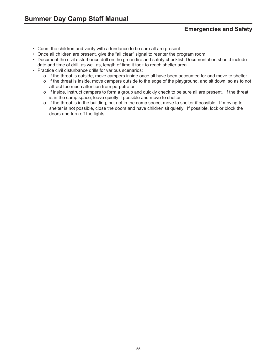# **Emergencies and Safety**

- Count the children and verify with attendance to be sure all are present
- Once all children are present, give the "all clear" signal to reenter the program room
- Document the civil disturbance drill on the green fire and safety checklist. Documentation should include date and time of drill, as well as, length of time it took to reach shelter area.
- Practice civil disturbance drills for various scenarios:
	- o If the threat is outside, move campers inside once all have been accounted for and move to shelter.
	- o If the threat is inside, move campers outside to the edge of the playground, and sit down, so as to not attract too much attention from perpetrator.
	- o If inside, instruct campers to form a group and quickly check to be sure all are present. If the threat is in the camp space, leave quietly if possible and move to shelter.
	- o If the threat is in the building, but not in the camp space, move to shelter if possible. If moving to shelter is not possible, close the doors and have children sit quietly. If possible, lock or block the doors and turn off the lights.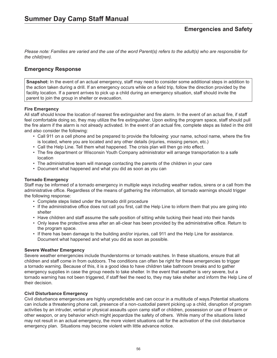## **Emergency Response**

**Snapshot:** In the event of an actual emergency, staff may need to consider some additional steps in addition to the action taken during a drill. If an emergency occurs while on a field trip, follow the direction provided by the facility location. If a parent arrives to pick up a child during an emergency situation, staff should invite the parent to join the group in shelter or evacuation.

## **Fire Emergency**

All staff should know the location of nearest fire extinguisher and fire alarm. In the event of an actual fire, if staff feel comfortable doing so, they may utilize the fire extinguisher. Upon exiting the program space, staff should pull the fire alarm if the alarm is not already activated. In the event of an actual fire, complete steps as listed in the drill and also consider the following:

- Call 911 on a cell phone and be prepared to provide the following: your name, school name, where the fire is located, where you are located and any other details (injuries, missing person, etc.)
- Call the Help Line. Tell them what happened. The crisis plan will then go into effect.
- The fire department or Wisconsin Youth Company administrator will arrange transportation to a safe location
- The administrative team will manage contacting the parents of the children in your care
- Document what happened and what you did as soon as you can

### **Tornado Emergency**

Staff may be informed of a tornado emergency in multiple ways including weather radios, sirens or a call from the administrative office. Regardless of the means of gathering the information, all tornado warnings should trigger the following response:

- Complete steps listed under the tornado drill procedure
- If the administrative office does not call you first, call the Help Line to inform them that you are going into shelter
- Have children and staff assume the safe position of sitting while tucking their head into their hands
- Only leave the protective area after an all-clear has been provided by the administrative office. Return to the program space.
- If there has been damage to the building and/or injuries, call 911 and the Help Line for assistance. Document what happened and what you did as soon as possible.

### **Severe Weather Emergency**

Severe weather emergencies include thunderstorms or tornado watches. In these situations, ensure that all children and staff come in from outdoors. The conditions can often be right for these emergencies to trigger a tornado warning. Because of this, it is a good idea to have children take bathroom breaks and to gather emergency supplies in case the group needs to take shelter. In the event that weather is very severe, but a tornado warning has not been triggered, if staff feel the need to, they may take shelter and inform the Help Line of their decision.

### **Civil Disturbance Emergency**

Civil disturbance emergencies are highly unpredictable and can occur in a multitude of ways.Potential situations can include a threatening phone call, presence of a non-custodial parent picking up a child, disruption of program activities by an intruder, verbal or physical assaults upon camp staff or children, possession or use of firearm or other weapon, or any behavior which might jeopardize the safety of others. While many of the situations listed may not result in an actual emergency, the more violent situations call for the activation of the civil disturbance emergency plan. Situations may become violent with little advance notice.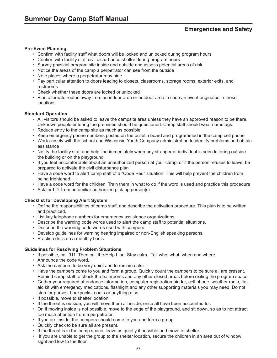# **Emergencies and Safety**

#### **Pre-Event Planning**

- Confirm with facility staff what doors will be locked and unlocked during program hours
- Confirm with facility staff civil disturbance shelter during program hours
- Survey physical program site inside and outside and assess potential areas of risk
- Notice the areas of the camp a perpetrator can see from the outside
- Note places where a perpetrator may hide
- Pay particular attention to doors leading to closets, classrooms, storage rooms, exterior exits, and restrooms
- Check whether these doors are locked or unlocked
- Plan alternate routes away from an indoor area or outdoor area in case an event originates in these locations

#### **Standard Operation**

- All visitors should be asked to leave the campsite area unless they have an approved reason to be there. Unknown people entering the premises should be questioned. Camp staff should wear nametags.
- Reduce entry to the camp site as much as possible
- Keep emergency phone numbers posted on the bulletin board and programmed in the camp cell phone
- Work closely with the school and Wisconsin Youth Company administration to identify problems and obtain assistance
- Notify the facility staff and help line immediately when any stranger or individual is seen loitering outside the building or on the playground
- If you feel uncomfortable about an unauthorized person at your camp, or if the person refuses to leave, be prepared to activate the civil disturbance plan
- Have a code word to alert camp staff of a "Code Red" situation. This will help prevent the children from being frightened.
- Have a code word for the children. Train them in what to do if the word is used and practice this procedure
- Ask for I.D. from unfamiliar authorized pick-up person(s)

#### **Checklist for Developing Alert System**

- Define the responsibilities of camp staff, and describe the activation procedure. This plan is to be written and practiced.
- List key telephone numbers for emergency assistance organizations.
- Describe the warning code words used to alert the camp staff to potential situations.
- Describe the warning code words used with campers.
- Develop guidelines for warning hearing impaired or non-English speaking persons.
- Practice drills on a monthly basis.

#### **Guidelines for Resolving Problem Situations**

- If possible, call 911. Then call the Help Line. Stay calm. Tell who, what, when and where.
- Announce the code word.
- Ask the campers to be very quiet and to remain calm.
- Have the campers come to you and form a group. Quickly count the campers to be sure all are present. Remind camp staff to check the bathrooms and any other closed areas before exiting the program space.
- Gather your required attendance information, computer registration binder, cell phone, weather radio, first aid kit with emergency medications, flashlight and any other supporting materials you may need. Do not stop for purses, backpacks, coats or anything else.
- If possible, move to shelter location.
- If the threat is outside, you will move them all inside, once all have been accounted for.
- Or, if moving inside is not possible, move to the edge of the playground, and sit down, so as to not attract too much attention from a perpetrator.
- If you are inside, the campers should come to you and form a group.
- Quickly check to be sure all are present.
- If the threat is in the camp space, leave as quietly if possible and move to shelter.
- If you are unable to get the group to the shelter location, secure the children in an area out of window sight and low to the floor.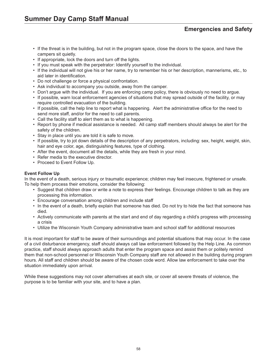# **Emergencies and Safety**

- If the threat is in the building, but not in the program space, close the doors to the space, and have the campers sit quietly.
- If appropriate, lock the doors and turn off the lights.
- If you must speak with the perpetrator: Identify yourself to the individual.
- If the individual will not give his or her name, try to remember his or her description, mannerisms, etc., to aid later in identification.
- Do not challenge or force a physical confrontation.
- Ask individual to accompany you outside, away from the camper.
- Don't argue with the individual. If you are enforcing camp policy, there is obviously no need to argue.
- If possible, warn local enforcement agencies of situations that may spread outside of the facility, or may require controlled evacuation of the building.
- If possible, call the help line to report what is happening. Alert the administrative office for the need to send more staff, and/or for the need to call parents.
- Call the facility staff to alert them as to what is happening.
- Report by phone if medical assistance is needed. All camp staff members should always be alert for the safety of the children.
- Stay in place until you are told it is safe to move.
- If possible, try to jot down details of the description of any perpetrators, including: sex, height, weight, skin, hair and eye color, age, distinguishing features, type of clothing.
- After the event, document all the details, while they are fresh in your mind.
- Refer media to the executive director.
- Proceed to Event Follow Up.

### **Event Follow Up**

In the event of a death, serious injury or traumatic experience; children may feel insecure, frightened or unsafe. To help them process their emotions, consider the following:

- Suggest that children draw or write a note to express their feelings. Encourage children to talk as they are processing this information.
- Encourage conversation among children and include staff
- In the event of a death, briefly explain that someone has died. Do not try to hide the fact that someone has died.
- Actively communicate with parents at the start and end of day regarding a child's progress with processing a crisis
- Utilize the Wisconsin Youth Company administrative team and school staff for additional resources

It is most important for staff to be aware of their surroundings and potential situations that may occur. In the case of a civil disturbance emergency, staff should always call law enforcement followed by the Help Line. As common practice, staff should always approach adults that enter the program space and assist them or politely remind them that non-school personnel or Wisconsin Youth Company staff are not allowed in the building during program hours. All staff and children should be aware of the chosen code word. Allow law enforcement to take over the situation immediately upon arrival.

While these suggestions may not cover alternatives at each site, or cover all severe threats of violence, the purpose is to be familiar with your site, and to have a plan.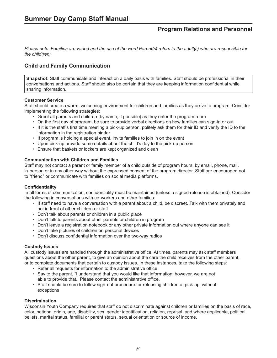*Please note: Families are varied and the use of the word Parent(s) refers to the adult(s) who are responsible for the child(ren).*

## **Child and Family Communication**

**Snapshot:** Staff communicate and interact on a daily basis with families. Staff should be professional in their conversations and actions. Staff should also be certain that they are keeping information confidential while sharing information.

### **Customer Service**

Staff should create a warm, welcoming environment for children and families as they arrive to program. Consider implementing the following strategies:

- Greet all parents and children (by name, if possible) as they enter the program room
- On the first day of program, be sure to provide verbal directions on how families can sign-in or out
- If it is the staff's first time meeting a pick-up person, politely ask them for their ID and verify the ID to the information in the registration binder
- If program is holding a special event, invite families to join in on the event
- Upon pick-up provide some details about the child's day to the pick-up person
- Ensure that baskets or lockers are kept organized and clean

#### **Communication with Children and Families**

Staff may not contact a parent or family member of a child outside of program hours, by email, phone, mail, in-person or in any other way without the expressed consent of the program director. Staff are encouraged not to "friend" or communicate with families on social media platforms.

### **Confidentiality**

In all forms of communication, confidentiality must be maintained (unless a signed release is obtained). Consider the following in conversations with co-workers and other families:

- If staff need to have a conversation with a parent about a child, be discreet. Talk with them privately and not in front of other children or staff.
- Don't talk about parents or children in a public place
- Don't talk to parents about other parents or children in program
- Don't leave a registration notebook or any other private information out where anyone can see it
- Don't take pictures of children on personal devices
- Don't discuss confidential information over the two-way radios

#### **Custody Issues**

All custody issues are handled through the administrative office. At times, parents may ask staff members questions about the other parent, to give an opinion about the care the child receives from the other parent, or to complete documents that pertain to custody issues. In these instances, take the following steps:

- Refer all requests for information to the administrative office
- Say to the parent, "I understand that you would like that information; however, we are not able to provide that. Please contact the administrative office.
- Staff should be sure to follow sign-out procedure for releasing children at pick-up, without exceptions

#### **Discrimination**

Wisconsin Youth Company requires that staff do not discriminate against children or families on the basis of race, color, national origin, age, disability, sex, gender identification, religion, reprisal, and where applicable, political beliefs, marital status, familial or parent status, sexual orientation or source of income.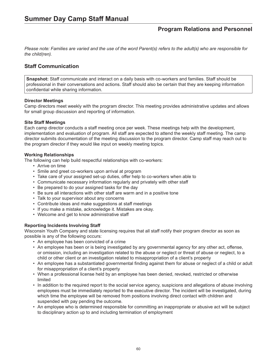*Please note: Families are varied and the use of the word Parent(s) refers to the adult(s) who are responsible for the child(ren).*

## **Staff Communication**

**Snapshot:** Staff communicate and interact on a daily basis with co-workers and families. Staff should be professional in their conversations and actions. Staff should also be certain that they are keeping information confidential while sharing information.

#### **Director Meetings**

Camp directors meet weekly with the program director. This meeting provides administrative updates and allows for small group discussion and reporting of information.

#### **Site Staff Meetings**

Each camp director conducts a staff meeting once per week. These meetings help with the development, implementation and evaluation of program. All staff are expected to attend the weekly staff meeting. The camp director submits documentation of the meeting discussion to the program director. Camp staff may reach out to the program director if they would like input on weekly meeting topics.

#### **Working Relationships**

The following can help build respectful relationships with co-workers:

- Arrive on time
- Smile and greet co-workers upon arrival at program
- Take care of your assigned set-up duties, offer help to co-workers when able to
- Communicate necessary information regularly and privately with other staff
- Be prepared to do your assigned tasks for the day
- Be sure all interactions with other staff are warm and in a positive tone
- Talk to your supervisor about any concerns
- Contribute ideas and make suggestions at staff meetings
- If you make a mistake, acknowledge it. Mistakes are okay.
- Welcome and get to know administrative staff

### **Reporting Incidents Involving Staff**

Wisconsin Youth Company and state licensing requires that all staff notify their program director as soon as possible is any of the following occurs:

- An employee has been convicted of a crime
- An employee has been or is being investigated by any governmental agency for any other act, offense, or omission, including an investigation related to the abuse or neglect or threat of abuse or neglect, to a child or other client or an investigation related to misappropriation of a client's property
- An employee has a substantiated governmental finding against them for abuse or neglect of a child or adult for misappropriation of a client's property
- When a professional license held by an employee has been denied, revoked, restricted or otherwise limited
- In addition to the required report to the social service agency, suspicions and allegations of abuse involving employees must be immediately reported to the executive director. The incident will be investigated, during which time the employee will be removed from positions involving direct contact with children and suspended with pay pending the outcome.
- An employee who is determined responsible for committing an inappropriate or abusive act will be subject to disciplinary action up to and including termination of employment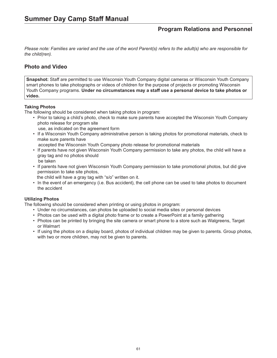*Please note: Families are varied and the use of the word Parent(s) refers to the adult(s) who are responsible for the child(ren).*

## **Photo and Video**

**Snapshot:** Staff are permitted to use Wisconsin Youth Company digital cameras or Wisconsin Youth Company smart phones to take photographs or videos of children for the purpose of projects or promoting Wisconsin Youth Company programs. **Under no circumstances may a staff use a personal device to take photos or video.** 

## **Taking Photos**

The following should be considered when taking photos in program:

- Prior to taking a child's photo, check to make sure parents have accepted the Wisconsin Youth Company photo release for program site
- use, as indicated on the agreement form
- If a Wisconsin Youth Company administrative person is taking photos for promotional materials, check to make sure parents have

accepted the Wisconsin Youth Company photo release for promotional materials

- If parents have not given Wisconsin Youth Company permission to take any photos, the child will have a gray tag and no photos should be taken
- If parents have not given Wisconsin Youth Company permission to take promotional photos, but did give permission to take site photos,

the child will have a gray tag with "s/o" written on it.

• In the event of an emergency (i.e. Bus accident), the cell phone can be used to take photos to document the accident

### **Utilizing Photos**

The following should be considered when printing or using photos in program:

- Under no circumstances, can photos be uploaded to social media sites or personal devices
- Photos can be used with a digital photo frame or to create a PowerPoint at a family gathering
- Photos can be printed by bringing the site camera or smart phone to a store such as Walgreens, Target or Walmart
- If using the photos on a display board, photos of individual children may be given to parents. Group photos, with two or more children, may not be given to parents.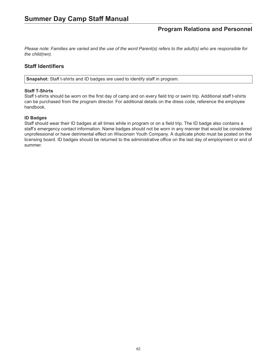*Please note: Families are varied and the use of the word Parent(s) refers to the adult(s) who are responsible for the child(ren).*

## **Staff Identifiers**

**Snapshot:** Staff t-shirts and ID badges are used to identify staff in program.

#### **Staff T-Shirts**

Staff t-shirts should be worn on the first day of camp and on every field trip or swim trip. Additional staff t-shirts can be purchased from the program director. For additional details on the dress code, reference the employee handbook.

#### **ID Badges**

Staff should wear their ID badges at all times while in program or on a field trip. The ID badge also contains a staff's emergency contact information. Name badges should not be worn in any manner that would be considered unprofessional or have detrimental effect on Wisconsin Youth Company. A duplicate photo must be posted on the licensing board. ID badges should be returned to the administrative office on the last day of employment or end of summer.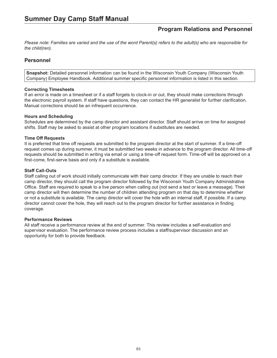*Please note: Families are varied and the use of the word Parent(s) refers to the adult(s) who are responsible for the child(ren).*

## **Personnel**

**Snapshot:** Detailed personnel information can be found in the Wisconsin Youth Company (Wisconsin Youth Company) Employee Handbook. Additional summer specific personnel information is listed in this section.

#### **Correcting Timesheets**

If an error is made on a timesheet or if a staff forgets to clock-in or out, they should make corrections through the electronic payroll system. If staff have questions, they can contact the HR generalist for further clarification. Manual corrections should be an infrequent occurrence.

#### **Hours and Scheduling**

Schedules are determined by the camp director and assistant director. Staff should arrive on time for assigned shifts. Staff may be asked to assist at other program locations if substitutes are needed.

#### **Time Off Requests**

It is preferred that time off requests are submitted to the program director at the start of summer. If a time-off request comes up during summer, it must be submitted two weeks in advance to the program director. All time-off requests should be submitted in writing via email or using a time-off request form. Time-off will be approved on a first-come, first-serve basis and only if a substitute is available.

#### **Staff Call-Outs**

Staff calling out of work should initially communicate with their camp director. If they are unable to reach their camp director, they should call the program director followed by the Wisconsin Youth Company Administrative Office. Staff are required to speak to a live person when calling out (not send a text or leave a message). Their camp director will then determine the number of children attending program on that day to determine whether or not a substitute is available. The camp director will cover the hole with an internal staff, if possible. If a camp director cannot cover the hole, they will reach out to the program director for further assistance in finding coverage.

#### **Performance Reviews**

All staff receive a performance review at the end of summer. This review includes a self-evaluation and supervisor evaluation. The performance review process includes a staff/supervisor discussion and an opportunity for both to provide feedback.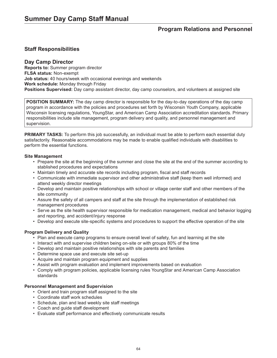## **Staff Responsibilities**

## **Day Camp Director**

**Reports to:** Summer program director **FLSA status:** Non-exempt **Job status:** 40 hours/week with occasional evenings and weekends **Work schedule:** Monday through Friday **Positions Supervised:** Day camp assistant director, day camp counselors, and volunteers at assigned site

**POSITION SUMMARY:** The day camp director is responsible for the day-to-day operations of the day camp program in accordance with the policies and procedures set forth by Wisconsin Youth Company, applicable Wisconsin licensing regulations, YoungStar, and American Camp Association accreditation standards. Primary responsibilities include site management, program delivery and quality, and personnel management and supervision.

**PRIMARY TASKS:** To perform this job successfully, an individual must be able to perform each essential duty satisfactorily. Reasonable accommodations may be made to enable qualified individuals with disabilities to perform the essential functions.

#### **Site Management**

- Prepare the site at the beginning of the summer and close the site at the end of the summer according to stablished procedures and expectations
- Maintain timely and accurate site records including program, fiscal and staff records
- Communicate with immediate supervisor and other administrative staff (keep them well informed) and attend weekly director meetings
- Develop and maintain positive relationships with school or village center staff and other members of the site community
- Assure the safety of all campers and staff at the site through the implementation of established risk management procedures
- Serve as the site health supervisor responsible for medication management, medical and behavior logging and reporting, and accident/injury response
- Develop and execute site-specific systems and procedures to support the effective operation of the site

### **Program Delivery and Quality**

- Plan and execute camp programs to ensure overall level of safety, fun and learning at the site
- Interact with and supervise children being on-site or with groups 80% of the time
- Develop and maintain positive relationships with site parents and families
- Determine space use and execute site set-up
- Acquire and maintain program equipment and supplies
- Assist with program evaluation and implement improvements based on evaluation
- Comply with program policies, applicable licensing rules YoungStar and American Camp Association standards

### **Personnel Management and Supervision**

- Orient and train program staff assigned to the site
- Coordinate staff work schedules
- Schedule, plan and lead weekly site staff meetings
- Coach and guide staff development
- Evaluate staff performance and effectively communicate results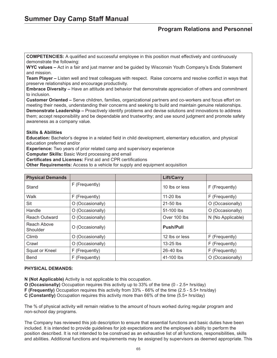**COMPETENCIES:** A qualified and successful employee in this position must effectively and continuously demonstrate the following:

**WYC values –** Act in a fair and just manner and be guided by Wisconsin Youth Company's Ends Statement and mission.

**Team Player –** Listen well and treat colleagues with respect. Raise concerns and resolve conflict in ways that preserve relationships and encourage productivity.

**Embrace Diversity –** Have an attitude and behavior that demonstrate appreciation of others and commitment to inclusion.

**Customer Oriented –** Serve children, families, organizational partners and co-workers and focus effort on meeting their needs, understanding their concerns and seeking to build and maintain genuine relationships. **Demonstrate Leadership –** Proactively identify problems and devise solutions and innovations to address them; accept responsibility and be dependable and trustworthy; and use sound judgment and promote safety awareness as a company value.

#### **Skills & Abilities**

**Education:** Bachelor's degree in a related field in child development, elementary education, and physical education preferred and/or

**Experience:** Two years of prior related camp and supervisory experience

**Computer Skills:** Basic Word processing and email

**Certificates and Licenses:** First aid and CPR certifications

**Other Requirements:** Access to a vehicle for supply and equipment acquisition

| <b>Physical Demands</b> |                  | <b>Lift/Carry</b> |                   |
|-------------------------|------------------|-------------------|-------------------|
| Stand                   | F (Frequently)   | 10 lbs or less    | F (Frequently)    |
| Walk                    | F (Frequently)   | 11-20 lbs         | F (Frequently)    |
| Sit                     | O (Occasionally) | 21-50 lbs         | O (Occasionally)  |
| Handle                  | O (Occasionally) | 51-100 lbs        | O (Occasionally)  |
| <b>Reach Outward</b>    | O (Occasionally) | Over 100 lbs      | N (No Applicable) |
| Reach Above<br>Shoulder | O (Occasionally) | <b>Push/Pull</b>  |                   |
| Climb                   | O (Occasionally) | 12 lbs or less    | F (Frequently)    |
| Crawl                   | O (Occasionally) | $13-25$ lbs       | F (Frequently)    |
| Squat or Kneel          | F (Frequently)   | 26-40 lbs         | F (Frequently)    |
| <b>Bend</b>             | F (Frequently)   | 41-100 lbs        | O (Occasionally)  |

### **PHYSICAL DEMANDS:**

**N (Not Applicable)** Activity is not applicable to this occupation.

**O (Occasionally)** Occupation requires this activity up to 33% of the time (0 - 2.5+ hrs/day)

**F (Frequently)** Occupation requires this activity from 33% - 66% of the time (2.5 - 5.5+ hrs/day)

**C (Constantly)** Occupation requires this activity more than 66% of the time (5.5+ hrs/day)

The % of physical activity will remain relative to the amount of hours worked during regular program and non-school day programs.

The Company has reviewed this job description to ensure that essential functions and basic duties have been included. It is intended to provide guidelines for job expectations and the employee's ability to perform the position described. It is not intended to be construed as an exhaustive list of all functions, responsibilities, skills and abilities. Additional functions and requirements may be assigned by supervisors as deemed appropriate. This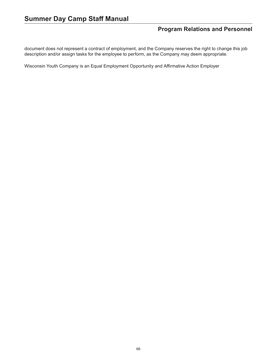document does not represent a contract of employment, and the Company reserves the right to change this job description and/or assign tasks for the employee to perform, as the Company may deem appropriate.

Wisconsin Youth Company is an Equal Employment Opportunity and Affirmative Action Employer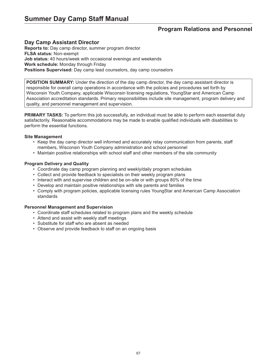## **Day Camp Assistant Director**

**Reports to:** Day camp director, summer program director **FLSA status:** Non-exempt **Job status:** 40 hours/week with occasional evenings and weekends **Work schedule:** Monday through Friday **Positions Supervised:** Day camp lead counselors, day camp counselors

**POSITION SUMMARY:** Under the direction of the day camp director, the day camp assistant director is responsible for overall camp operations in accordance with the policies and procedures set forth by Wisconsin Youth Company, applicable Wisconsin licensing regulations, YoungStar and American Camp Association accreditation standards. Primary responsibilities include site management, program delivery and quality, and personnel management and supervision.

**PRIMARY TASKS:** To perform this job successfully, an individual must be able to perform each essential duty satisfactorily. Reasonable accommodations may be made to enable qualified individuals with disabilities to perform the essential functions.

#### **Site Management**

- Keep the day camp director well informed and accurately relay communication from parents, staff members, Wisconsin Youth Company administration and school personnel
- Maintain positive relationships with school staff and other members of the site community

### **Program Delivery and Quality**

- Coordinate day camp program planning and weekly/daily program schedules
- Collect and provide feedback to specialists on their weekly program plans
- Interact with and supervise children and be on-site or with groups 80% of the time
- Develop and maintain positive relationships with site parents and families
- Comply with program policies, applicable licensing rules YoungStar and American Camp Association standards

### **Personnel Management and Supervision**

- Coordinate staff schedules related to program plans and the weekly schedule
- Attend and assist with weekly staff meetings
- Substitute for staff who are absent as needed
- Observe and provide feedback to staff on an ongoing basis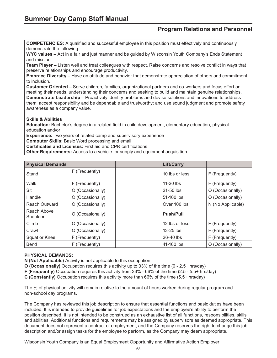**COMPETENCIES:** A qualified and successful employee in this position must effectively and continuously demonstrate the following:

**WYC values –** Act in a fair and just manner and be guided by Wisconsin Youth Company's Ends Statement and mission.

**Team Player –** Listen well and treat colleagues with respect. Raise concerns and resolve conflict in ways that preserve relationships and encourage productivity.

**Embrace Diversity –** Have an attitude and behavior that demonstrate appreciation of others and commitment to inclusion.

**Customer Oriented –** Serve children, families, organizational partners and co-workers and focus effort on meeting their needs, understanding their concerns and seeking to build and maintain genuine relationships. **Demonstrate Leadership –** Proactively identify problems and devise solutions and innovations to address them; accept responsibility and be dependable and trustworthy; and use sound judgment and promote safety awareness as a company value.

#### **Skills & Abilities**

**Education:** Bachelor's degree in a related field in child development, elementary education, physical education and/or

**Experience:** Two years of related camp and supervisory experience

**Computer Skills:** Basic Word processing and email

**Certificates and Licenses:** First aid and CPR certifications

**Other Requirements:** Access to a vehicle for supply and equipment acquisition.

| <b>Physical Demands</b> |                  | <b>Lift/Carry</b> |                   |
|-------------------------|------------------|-------------------|-------------------|
| Stand                   | F (Frequently)   | 10 lbs or less    | F (Frequently)    |
| Walk                    | F (Frequently)   | 11-20 lbs         | F (Frequently)    |
| Sit                     | O (Occasionally) | 21-50 lbs         | O (Occasionally)  |
| Handle                  | O (Occasionally) | 51-100 lbs        | O (Occasionally)  |
| <b>Reach Outward</b>    | O (Occasionally) | Over 100 lbs      | N (No Applicable) |
| Reach Above<br>Shoulder | O (Occasionally) | <b>Push/Pull</b>  |                   |
| Climb                   | O (Occasionally) | 12 lbs or less    | F (Frequently)    |
| Crawl                   | O (Occasionally) | $13-25$ lbs       | F (Frequently)    |
| Squat or Kneel          | F (Frequently)   | 26-40 lbs         | F (Frequently)    |
| <b>Bend</b>             | F (Frequently)   | 41-100 lbs        | O (Occasionally)  |

### **PHYSICAL DEMANDS:**

**N (Not Applicable)** Activity is not applicable to this occupation.

**O (Occasionally)** Occupation requires this activity up to 33% of the time (0 - 2.5+ hrs/day)

**F (Frequently)** Occupation requires this activity from 33% - 66% of the time (2.5 - 5.5+ hrs/day)

**C (Constantly)** Occupation requires this activity more than 66% of the time (5.5+ hrs/day)

The % of physical activity will remain relative to the amount of hours worked during regular program and non-school day programs.

The Company has reviewed this job description to ensure that essential functions and basic duties have been included. It is intended to provide guidelines for job expectations and the employee's ability to perform the position described. It is not intended to be construed as an exhaustive list of all functions, responsibilities, skills and abilities. Additional functions and requirements may be assigned by supervisors as deemed appropriate. This document does not represent a contract of employment, and the Company reserves the right to change this job description and/or assign tasks for the employee to perform, as the Company may deem appropriate.

Wisconsin Youth Company is an Equal Employment Opportunity and Affirmative Action Employer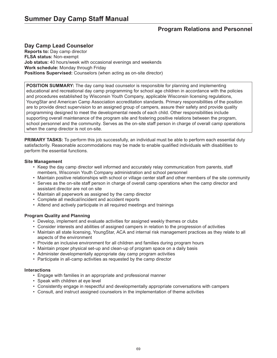## **Day Camp Lead Counselor**

**Reports to:** Day camp director **FLSA status:** Non-exempt **Job status:** 40 hours/week with occasional evenings and weekends **Work schedule:** Monday through Friday **Positions Supervised:** Counselors (when acting as on-site director)

**POSITION SUMMARY:** The day camp lead counselor is responsible for planning and implementing educational and recreational day camp programming for school age children in accordance with the policies and procedures established by Wisconsin Youth Company, applicable Wisconsin licensing regulations, YoungStar and American Camp Association accreditation standards. Primary responsibilities of the position are to provide direct supervision to an assigned group of campers, assure their safety and provide quality programming designed to meet the developmental needs of each child. Other responsibilities include supporting overall maintenance of the program site and fostering positive relations between the program, school personnel and the community. Serves as the on-site staff person in charge of overall camp operations when the camp director is not on-site.

**PRIMARY TASKS:** To perform this job successfully, an individual must be able to perform each essential duty satisfactorily. Reasonable accommodations may be made to enable qualified individuals with disabilities to perform the essential functions.

#### **Site Management**

- Keep the day camp director well informed and accurately relay communication from parents, staff members, Wisconsin Youth Company administration and school personnel
- Maintain positive relationships with school or village center staff and other members of the site community
- Serves as the on-site staff person in charge of overall camp operations when the camp director and assistant director are not on site
- Maintain all paperwork as assigned by the camp director
- Complete all medical/incident and accident reports
- Attend and actively participate in all required meetings and trainings

### **Program Quality and Planning**

- Develop, implement and evaluate activities for assigned weekly themes or clubs
- Consider interests and abilities of assigned campers in relation to the progression of activities
- Maintain all state licensing, YoungStar, ACA and internal risk management practices as they relate to all aspects of the environment
- Provide an inclusive environment for all children and families during program hours
- Maintain proper physical set-up and clean-up of program space on a daily basis
- Administer developmentally appropriate day camp program activities
- Participate in all-camp activities as requested by the camp director

#### **Interactions**

- Engage with families in an appropriate and professional manner
- Speak with children at eye level
- Consistently engage in respectful and developmentally appropriate conversations with campers
- Consult, and instruct assigned counselors in the implementation of theme activities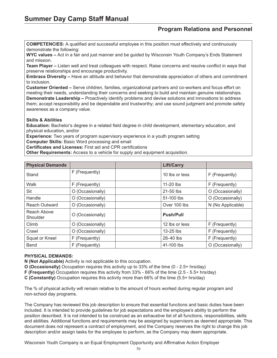**COMPETENCIES:** A qualified and successful employee in this position must effectively and continuously demonstrate the following:

**WYC values –** Act in a fair and just manner and be guided by Wisconsin Youth Company's Ends Statement and mission.

**Team Player –** Listen well and treat colleagues with respect. Raise concerns and resolve conflict in ways that preserve relationships and encourage productivity.

**Embrace Diversity –** Have an attitude and behavior that demonstrate appreciation of others and commitment to inclusion.

**Customer Oriented –** Serve children, families, organizational partners and co-workers and focus effort on meeting their needs, understanding their concerns and seeking to build and maintain genuine relationships. **Demonstrate Leadership –** Proactively identify problems and devise solutions and innovations to address them; accept responsibility and be dependable and trustworthy; and use sound judgment and promote safety awareness as a company value.

### **Skills & Abilities**

**Education:** Bachelor's degree in a related field degree in child development, elementary education, and physical education, and/or

**Experience:** Two years of program supervisory experience in a youth program setting

**Computer Skills:** Basic Word processing and email

**Certificates and Licenses:** First aid and CPR certifications

**Other Requirements:** Access to a vehicle for supply and equipment acquisition.

| <b>Physical Demands</b> |                  | <b>Lift/Carry</b> |                   |
|-------------------------|------------------|-------------------|-------------------|
| Stand                   | F (Frequently)   | 10 lbs or less    | F (Frequently)    |
| Walk                    | F (Frequently)   | $11-20$ lbs       | F (Frequently)    |
| Sit                     | O (Occasionally) | 21-50 lbs         | O (Occasionally)  |
| Handle                  | O (Occasionally) | 51-100 lbs        | O (Occasionally)  |
| <b>Reach Outward</b>    | O (Occasionally) | Over 100 lbs      | N (No Applicable) |
| Reach Above<br>Shoulder | O (Occasionally) | <b>Push/Pull</b>  |                   |
| Climb                   | O (Occasionally) | 12 lbs or less    | F (Frequently)    |
| Crawl                   | O (Occasionally) | $13-25$ lbs       | F (Frequently)    |
| Squat or Kneel          | F (Frequently)   | 26-40 lbs         | F (Frequently)    |
| <b>Bend</b>             | F (Frequently)   | 41-100 lbs        | O (Occasionally)  |

#### **PHYSICAL DEMANDS:**

**N (Not Applicable)** Activity is not applicable to this occupation.

**O (Occasionally)** Occupation requires this activity up to 33% of the time (0 - 2.5+ hrs/day)

**F (Frequently)** Occupation requires this activity from 33% - 66% of the time (2.5 - 5.5+ hrs/day)

**C (Constantly)** Occupation requires this activity more than 66% of the time (5.5+ hrs/day)

The % of physical activity will remain relative to the amount of hours worked during regular program and non-school day programs.

The Company has reviewed this job description to ensure that essential functions and basic duties have been included. It is intended to provide guidelines for job expectations and the employee's ability to perform the position described. It is not intended to be construed as an exhaustive list of all functions, responsibilities, skills and abilities. Additional functions and requirements may be assigned by supervisors as deemed appropriate. This document does not represent a contract of employment, and the Company reserves the right to change this job description and/or assign tasks for the employee to perform, as the Company may deem appropriate.

Wisconsin Youth Company is an Equal Employment Opportunity and Affirmative Action Employer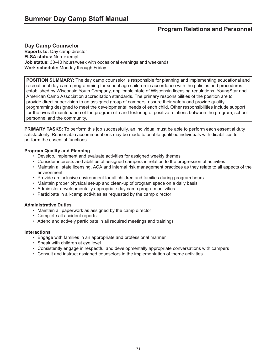## **Day Camp Counselor**

**Reports to:** Day camp director **FLSA status:** Non-exempt **Job status:** 30-40 hours/week with occasional evenings and weekends **Work schedule:** Monday through Friday

**POSITION SUMMARY:** The day camp counselor is responsible for planning and implementing educational and recreational day camp programming for school age children in accordance with the policies and procedures established by Wisconsin Youth Company, applicable state of Wisconsin licensing regulations, YoungStar and American Camp Association accreditation standards. The primary responsibilities of the position are to provide direct supervision to an assigned group of campers, assure their safety and provide quality programming designed to meet the developmental needs of each child. Other responsibilities include support for the overall maintenance of the program site and fostering of positive relations between the program, school personnel and the community.

**PRIMARY TASKS:** To perform this job successfully, an individual must be able to perform each essential duty satisfactorily. Reasonable accommodations may be made to enable qualified individuals with disabilities to perform the essential functions.

#### **Program Quality and Planning**

- Develop, implement and evaluate activities for assigned weekly themes
- Consider interests and abilities of assigned campers in relation to the progression of activities
- Maintain all state licensing, ACA and internal risk management practices as they relate to all aspects of the environment
- Provide an inclusive environment for all children and families during program hours
- Maintain proper physical set-up and clean-up of program space on a daily basis
- Administer developmentally appropriate day camp program activities
- Participate in all-camp activities as requested by the camp director

#### **Administrative Duties**

- Maintain all paperwork as assigned by the camp director
- Complete all accident reports
- Attend and actively participate in all required meetings and trainings

#### **Interactions**

- Engage with families in an appropriate and professional manner
- Speak with children at eye level
- Consistently engage in respectful and developmentally appropriate conversations with campers
- Consult and instruct assigned counselors in the implementation of theme activities